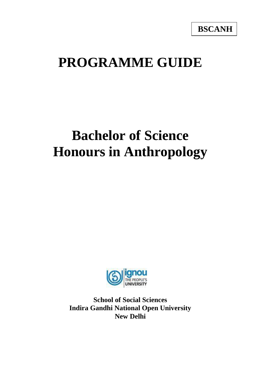# **PROGRAMME GUIDE**

# **Bachelor of Science Honours in Anthropology**



**School of Social Sciences Indira Gandhi National Open University New Delhi**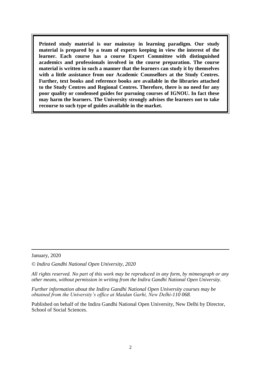**Printed study material is our mainstay in learning paradigm. Our study material is prepared by a team of experts keeping in view the interest of the learner. Each course has a course Expert Committee with distinguished academics and professionals involved in the course preparation. The course material is written in such a manner that the learners can study it by themselves with a little assistance from our Academic Counsellors at the Study Centres. Further, text books and reference books are available in the libraries attached to the Study Centres and Regional Centres. Therefore, there is no need for any poor quality or condensed guides for pursuing courses of IGNOU. In fact these may harm the learners. The University strongly advises the learners not to take recourse to such type of guides available in the market.**

January, 2020

*© Indira Gandhi National Open University, 2020*

*All rights reserved. No part of this work may be reproduced in any form, by mimeograph or any other means, without permission in writing from the Indira Gandhi National Open University.*

*Further information about the Indira Gandhi National Open University courses may be obtained from the University's office at Maidan Garhi, New Delhi-110 068.*

Published on behalf of the Indira Gandhi National Open University, New Delhi by Director, School of Social Sciences.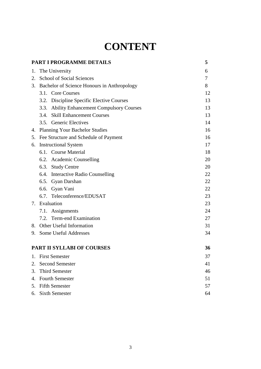## **CONTENT**

<span id="page-2-0"></span>

|    | PART I PROGRAMME DETAILS                       | 5      |
|----|------------------------------------------------|--------|
| 1. | The University                                 | 6      |
|    | 2. School of Social Sciences                   | $\tau$ |
|    | 3. Bachelor of Science Honours in Anthropology | 8      |
|    | 3.1. Core Courses                              | 12     |
|    | 3.2. Discipline Specific Elective Courses      | 13     |
|    | 3.3. Ability Enhancement Compulsory Courses    | 13     |
|    | 3.4. Skill Enhancement Courses                 | 13     |
|    | 3.5. Generic Electives                         | 14     |
|    | 4. Planning Your Bachelor Studies              | 16     |
|    | 5. Fee Structure and Schedule of Payment       | 16     |
|    | 6. Instructional System                        | 17     |
|    | 6.1. Course Material                           | 18     |
|    | 6.2. Academic Counselling                      | 20     |
|    | 6.3. Study Centre                              | 20     |
|    | 6.4. Interactive Radio Counselling             | 22     |
|    | 6.5. Gyan Darshan                              | 22     |
|    | 6.6. Gyan Vani                                 | 22     |
|    | 6.7. Teleconference/EDUSAT                     | 23     |
|    | 7. Evaluation                                  | 23     |
|    | 7.1. Assignments                               | 24     |
|    | 7.2. Term-end Examination                      | 27     |
|    | 8. Other Useful Information                    | 31     |
|    | 9. Some Useful Addresses                       | 34     |
|    | <b>PART II SYLLABI OF COURSES</b>              | 36     |
| 1. | <b>First Semester</b>                          | 37     |
| 2. | <b>Second Semester</b>                         | 41     |
| 3. | <b>Third Semester</b>                          | 46     |
| 4. | <b>Fourth Semester</b>                         | 51     |
| 5. | <b>Fifth Semester</b>                          | 57     |
| 6. | <b>Sixth Semester</b>                          | 64     |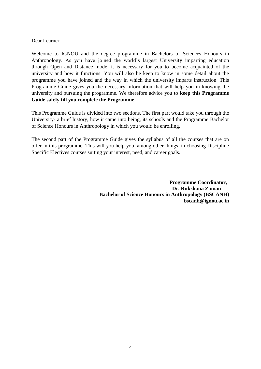Dear Learner,

Welcome to IGNOU and the degree programme in Bachelors of Sciences Honours in Anthropology. As you have joined the world's largest University imparting education through Open and Distance mode, it is necessary for you to become acquainted of the university and how it functions. You will also be keen to know in some detail about the programme you have joined and the way in which the university imparts instruction. This Programme Guide gives you the necessary information that will help you in knowing the university and pursuing the programme. We therefore advice you to **keep this Programme Guide safely till you complete the Programme.**

This Programme Guide is divided into two sections. The first part would take you through the University- a brief history, how it came into being, its schools and the Programme Bachelor of Science Honours in Anthropology in which you would be enrolling.

The second part of the Programme Guide gives the syllabus of all the courses that are on offer in this programme. This will you help you, among other things, in choosing Discipline Specific Electives courses suiting your interest, need, and career goals.

> **Programme Coordinator, Dr. Rukshana Zaman Bachelor of Science Honours in Anthropology (BSCANH**) **bscanh@ignou.ac.in**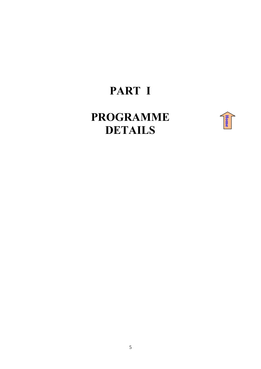## **PART I**

## <span id="page-4-0"></span>**PROGRAMME DETAILS**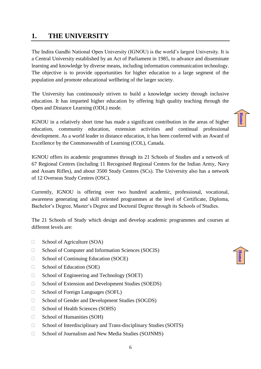## <span id="page-5-0"></span>**1. THE UNIVERSITY**

The Indira Gandhi National Open University (IGNOU) is the world's largest University. It is a Central University established by an Act of Parliament in 1985, to advance and disseminate learning and knowledge by diverse means, including information communication technology. The objective is to provide opportunities for higher education to a large segment of the population and promote educational wellbeing of the larger society.

The University has continuously striven to build a knowledge society through inclusive education. It has imparted higher education by offering high quality teaching through the Open and Distance Learning (ODL) mode.

IGNOU in a relatively short time has made a significant contribution in the areas of higher education, community education, extension activities and continual professional development. As a world leader in distance education, it has been conferred with an Award of Excellence by the Commonwealth of Learning (COL), Canada.

IGNOU offers its academic programmes through its 21 Schools of Studies and a network of 67 Regional Centres (including 11 Recognised Regional Centres for the Indian Army, Navy and Assam Rifles), and about 3500 Study Centres (SCs). The University also has a network of 12 Overseas Study Centres (OSC).

Currently, IGNOU is offering over two hundred academic, professional, vocational, awareness generating and skill oriented programmes at the level of Certificate, Diploma, Bachelor's Degree, Master's Degree and Doctoral Degree through its Schools of Studies.

The 21 Schools of Study which design and develop academic programmes and courses at different levels are:

- $\Box$  School of Agriculture (SOA)
- $\Box$  School of Computer and Information Sciences (SOCIS)
- $\Box$  School of Continuing Education (SOCE)
- $\Box$  School of Education (SOE)
- $\Box$  School of Engineering and Technology (SOET)
- □ School of Extension and Development Studies (SOEDS)
- □ School of Foreign Languages (SOFL)
- □ School of Gender and Development Studies (SOGDS)
- □ School of Health Sciences (SOHS)
- □ School of Humanities (SOH)
- □ School of Interdisciplinary and Trans-disciplinary Studies (SOITS)
- □ School of Journalism and New Media Studies (SOJNMS)

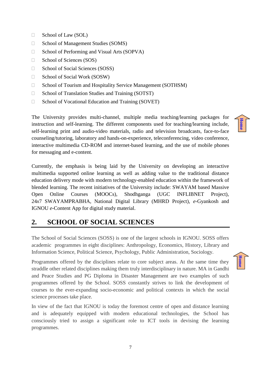- $\Box$  School of Law (SOL)
- $\Box$  School of Management Studies (SOMS)
- $\Box$  School of Performing and Visual Arts (SOPVA)
- $\Box$  School of Sciences (SOS)
- □ School of Social Sciences (SOSS)
- □ School of Social Work (SOSW)
- □ School of Tourism and Hospitality Service Management (SOTHSM)
- $\Box$  School of Translation Studies and Training (SOTST)
- $\Box$  School of Vocational Education and Training (SOVET)

The University provides multi-channel, multiple media teaching/learning packages for instruction and self-learning. The different components used for teaching/learning include, self-learning print and audio-video materials, radio and television broadcasts, face-to-face counseling/tutoring, laboratory and hands-on-experience, teleconferencing, video conference, interactive multimedia CD-ROM and internet-based learning, and the use of mobile phones for messaging and e-content.

Currently, the emphasis is being laid by the University on developing an interactive multimedia supported online learning as well as adding value to the traditional distance education delivery mode with modern technology-enabled education within the framework of blended learning. The recent initiatives of the University include: SWAYAM based Massive Open Online Courses (MOOCs), Shodhganga (UGC INFLIBNET Project), 24*x*7 SWAYAMPRABHA, National Digital Library (MHRD Project), *e*-Gyankosh and IGNOU *e*-Content App for digital study material.

## <span id="page-6-0"></span>**2. SCHOOL OF SOCIAL SCIENCES**

The School of Social Sciences (SOSS) is one of the largest schools in IGNOU. SOSS offers academic programmes in eight disciplines: Anthropology, Economics, History, Library and Information Science, Political Science, Psychology, Public Administration, Sociology.

Programmes offered by the disciplines relate to core subject areas. At the same time they straddle other related disciplines making them truly interdisciplinary in nature. MA in Gandhi and Peace Studies and PG Diploma in Disaster Management are two examples of such programmes offered by the School. SOSS constantly strives to link the development of courses to the ever-expanding socio-economic and political contexts in which the social science processes take place.

In view of the fact that IGNOU is today the foremost centre of open and distance learning and is adequately equipped with modern educational technologies, the School has consciously tried to assign a significant role to ICT tools in devising the learning programmes.



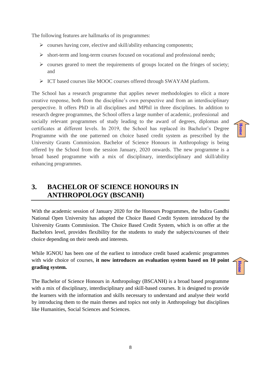The following features are hallmarks of its programmes:

- $\triangleright$  courses having core, elective and skill/ability enhancing components;
- $\triangleright$  short-term and long-term courses focused on vocational and professional needs;
- $\triangleright$  courses geared to meet the requirements of groups located on the fringes of society; and
- ICT based courses like MOOC courses offered through SWAYAM platform.

The School has a research programme that applies newer methodologies to elicit a more creative response, both from the discipline's own perspective and from an interdisciplinary perspective. It offers PhD in all disciplines and MPhil in three disciplines. In addition to research degree programmes, the School offers a large number of academic, professional and socially relevant programmes of study leading to the award of degrees, diplomas and certificates at different levels. In 2019, the School has replaced its Bachelor's Degree Programme with the one patterned on choice based credit system as prescribed by the University Grants Commission. Bachelor of Science Honours in Anthropology is being offered by the School from the session January, 2020 onwards. The new programme is a broad based programme with a mix of disciplinary, interdisciplinary and skill/ability enhancing programmes.

## <span id="page-7-0"></span>**3. BACHELOR OF SCIENCE HONOURS IN ANTHROPOLOGY (BSCANH)**

With the academic session of January 2020 for the Honours Programmes, the Indira Gandhi National Open University has adopted the Choice Based Credit System introduced by the University Grants Commission. The Choice Based Credit System, which is on offer at the Bachelors level, provides flexibility for the students to study the subjects/courses of their choice depending on their needs and interests.

While IGNOU has been one of the earliest to introduce credit based academic programmes with wide choice of courses, **it now introduces an evaluation system based on 10 point grading system.**

The Bachelor of Science Honours in Anthropology (BSCANH) is a broad based programme with a mix of disciplinary, interdisciplinary and skill-based courses. It is designed to provide the learners with the information and skills necessary to understand and analyse their world by introducing them to the main themes and topics not only in Anthropology but disciplines like Humanities, Social Sciences and Sciences.

**[Home](#page-2-0)**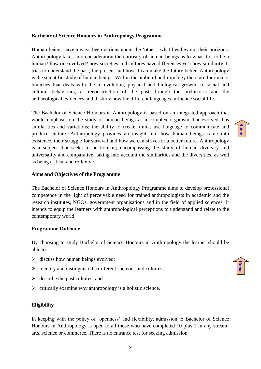#### **Bachelor of Science Honours in Anthropology Programme**

Human beings have always been curious about the 'other', what lies beyond their horizons. Anthropology takes into consideration the curiosity of human beings as to what it is to be a human? how one evolved? how societies and cultures have differences yet show similarity. It tries to understand the past, the present and how it can make the future better. Anthropology is the scientific study of human beings. Within the ambit of anthropology there are four major branches that deals with the *a*. evolution, physical and biological growth, *b*. social and cultural behaviours, *c*. reconstruction of the past through the prehistoric and the archaeological evidences and d. study how the different languages influence social life.

The Bachelor of Science Honours in Anthropology is based on an integrated approach that would emphasis on the study of human beings as a complex organism that evolved, has similarities and variations; the ability to create, think, use language to communicate and produce culture. Anthropology provides an insight into how human beings came into existence, their struggle for survival and how we can strive for a better future. Anthropology is a subject that seeks to be holistic; encompassing the study of human diversity and universality and comparative; taking into account the similarities and the diversities, as well as being critical and reflexive.

#### **Aims and Objectives of the Programme**

The Bachelor of Science Honours in Anthropology Programme aims to develop professional competence in the light of perceivable need for trained anthropologists in academic and the research institutes, NGOs, government organisations and in the field of applied sciences. It intends to equip the learners with anthropological perceptions to understand and relate to the contemporary world.

#### **Programme Outcome**

By choosing to study Bachelor of Science Honours in Anthropology the learner should be able to:

- $\triangleright$  discuss how human beings evolved;
- $\triangleright$  identify and distinguish the different societies and cultures;
- $\triangleright$  describe the past cultures; and
- $\triangleright$  critically examine why anthropology is a holistic science.

#### **Eligibility**

In keeping with the policy of 'openness' and flexibility, admission to Bachelor of Science Honours in Anthropology is open to all those who have completed 10 plus 2 in any streamarts, science or commerce. There is no entrance test for seeking admission.

**[Home](#page-2-0)**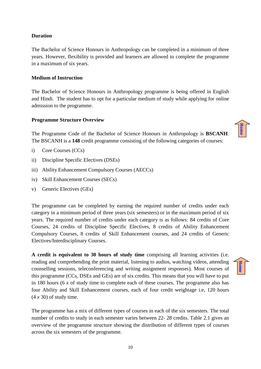#### **Duration**

The Bachelor of Science Honours in Anthropology can be completed in a minimum of three years. However, flexibility is provided and learners are allowed to complete the programme in a maximum of six years.

#### **Medium of Instruction**

The Bachelor of Science Honours in Anthropology programme is being offered in English and Hindi. The student has to opt for a particular medium of study while applying for online admission to the programme.

#### **Programme Structure Overview**

The Programme Code of the Bachelor of Science Honours in Anthropology is **BSCANH**. The BSCANH is a **148** credit programme consisting of the following categories of courses:

- i) Core Courses (CCs)
- ii) Discipline Specific Electives (DSEs)
- iii) Ability Enhancement Compulsory Courses (AECCs)
- iv) Skill Enhancement Courses (SECs)
- v) Generic Electives (GEs)

The programme can be completed by earning the required number of credits under each category in a minimum period of three years (six semesters) or in the maximum period of six years. The required number of credits under each category is as follows: 84 credits of Core Courses, 24 credits of Discipline Specific Electives, 8 credits of Ability Enhancement Compulsory Courses, 8 credits of Skill Enhancement courses, and 24 credits of Generic Electives/Interdisciplinary Courses.

**A credit is equivalent to 30 hours of study time** comprising all learning activities (i.e. reading and comprehending the print material, listening to audios, watching videos, attending counselling sessions, teleconferencing and writing assignment responses). Most courses of this programme (CCs, DSEs and GEs) are of six credits. This means that you will have to put in 180 hours (6 *x* of study time to complete each of these courses. The programme also has four Ability and Skill Enhancement courses, each of four credit weightage i.e, 120 hours (4 *x* 30) of study time.

The programme has a mix of different types of courses in each of the six semesters. The total number of credits to study in each semester varies between 22- 28 credits. Table 2.1 gives an overview of the programme structure showing the distribution of different types of courses across the six semesters of the programme.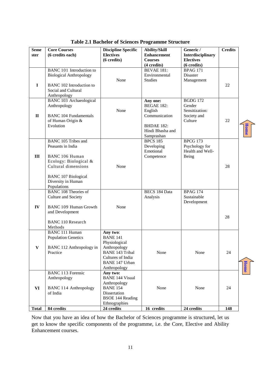| <b>Seme</b><br>ster | <b>Core Courses</b><br>(6 credits each)                                                                                                                                              | <b>Discipline Specific</b><br><b>Electives</b><br>(6 credits)                                                                                        | <b>Ability/Skill</b><br><b>Enhancement</b><br><b>Courses</b><br>(4 credits)                                      | Generic /<br>Interdisciplinary<br><b>Electives</b><br>$(6 \text{ credits})$ | <b>Credits</b> |             |
|---------------------|--------------------------------------------------------------------------------------------------------------------------------------------------------------------------------------|------------------------------------------------------------------------------------------------------------------------------------------------------|------------------------------------------------------------------------------------------------------------------|-----------------------------------------------------------------------------|----------------|-------------|
| $\bf{I}$            | BANC 101 Introduction to<br><b>Biological Anthropology</b><br><b>BANC 102 Introduction to</b><br>Social and Cultural<br>Anthropology                                                 | None                                                                                                                                                 | <b>BEVAE 181:</b><br>Environmental<br><b>Studies</b>                                                             | BPAG $171$<br>Disaster<br>Management                                        | 22             |             |
| $\mathbf{I}$        | <b>BANC 103 Archaeological</b><br>Anthropology<br><b>BANC 104 Fundamentals</b><br>of Human Origin &<br>Evolution                                                                     | None                                                                                                                                                 | Any one:<br><b>BEGAE 182:</b><br>English<br>Communication<br><b>BHDAE 182:</b><br>Hindi Bhasha and<br>Samprashan | <b>BGDG 172</b><br>Gender<br>Sensitization:<br>Society and<br>Culture       | 22             | <b>Home</b> |
| III                 | <b>BANC 105 Tribes and</b><br>Peasants in India<br>BANC 106 Human<br>Ecology: Biological &<br>Cultural dimensions<br><b>BANC 107 Biological</b><br>Diversity in Human<br>Populations | None                                                                                                                                                 | <b>BPCS 185</b><br>Developing<br>Emotional<br>Competence                                                         | <b>BPCG 173</b><br>Psychology for<br>Health and Well-<br>Being              | 28             |             |
| IV                  | <b>BANC 108 Theories of</b><br>Culture and Society<br><b>BANC 109 Human Growth</b><br>and Development<br><b>BANC 110 Research</b><br>Methods                                         | None                                                                                                                                                 | <b>BECS 184 Data</b><br>Analysis                                                                                 | <b>BPAG 174</b><br>Sustainable<br>Development                               | 28             |             |
| $\mathbf{V}$        | <b>BANC 111 Human</b><br><b>Population Genetics</b><br>BANC 112 Anthropology in<br>Practice                                                                                          | Any two:<br><b>BANE 141</b><br>Physiological<br>Anthropology<br><b>BANE 143 Tribal</b><br>Cultures of India<br><b>BANE 147 Urban</b><br>Anthropology | None                                                                                                             | None                                                                        | 24             | <b>Home</b> |
| VI                  | <b>BANC 113 Forensic</b><br>Anthropology<br><b>BANC 114 Anthropology</b><br>of India                                                                                                 | Any two:<br><b>BANE 144 Visual</b><br>Anthropology<br><b>BANE 154</b><br>Dissertation<br><b>BSOE 144 Reading</b><br>Ethnographies                    | None                                                                                                             | None                                                                        | 24             |             |
| <b>Total</b>        | 84 credits                                                                                                                                                                           | 24 credits                                                                                                                                           | 16 credits                                                                                                       | 24 credits                                                                  | 148            |             |

**Table 2.1 Bachelor of Sciences Programme Structure**

Now that you have an idea of how the Bachelor of Sciences programme is structured, let us get to know the specific components of the programme, i.e. the Core, Elective and Ability Enhancement courses.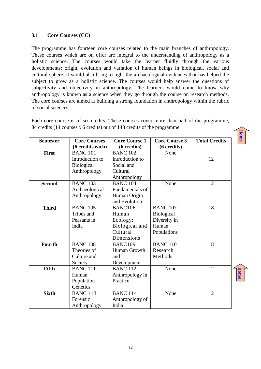#### <span id="page-11-0"></span>**3.1 Core Courses (CC)**

The programme has fourteen core courses related to the main branches of anthropology. These courses which are on offer are integral to the understanding of anthropology as a holistic science. The courses would take the learner fluidly through the various developments: origin, evolution and variation of human beings in biological, social and cultural sphere. It would also bring to light the archaeological evidences that has helped the subject to grow as a holistic science. The courses would help answer the questions of subjectivity and objectivity in anthropology. The learners would come to know why anthropology is known as a science when they go through the course on research methods. The core courses are aimed at building a strong foundation in anthropology within the rubric of social sciences.

Each core course is of six credits. These courses cover more than half of the programme, 84 credits (14 courses *x* 6 credits) out of 148 credits of the programme.

| <b>Semester</b> | <b>Core Courses</b> | <b>Core Course 1</b> | <b>Core Course 3</b>  | <b>Total Credits</b> |
|-----------------|---------------------|----------------------|-----------------------|----------------------|
|                 | (6 credits each)    | (6 credits)          | (6 credits)           |                      |
| First           | <b>BANC 101</b>     | <b>BANC 102</b>      | None                  |                      |
|                 | Introduction to     | Introduction to      |                       | 12                   |
|                 | <b>Biological</b>   | Social and           |                       |                      |
|                 | Anthropology        | Cultural             |                       |                      |
|                 |                     | Anthropology         |                       |                      |
| <b>Second</b>   | <b>BANC 103</b>     | <b>BANC 104</b>      | None                  | 12                   |
|                 | Archaeological      | Fundamentals of      |                       |                      |
|                 | Anthropology        | Human Origin         |                       |                      |
|                 |                     | and Evolution        |                       |                      |
| <b>Third</b>    | <b>BANC 105</b>     | BANC106              | $BAN\overline{C}$ 107 | 18                   |
|                 | Tribes and          | Human                | <b>Biological</b>     |                      |
|                 | Peasants in         | Ecology:             | Diversity in          |                      |
|                 | India               | Biological and       | Human                 |                      |
|                 |                     | Cultural             | Populations           |                      |
|                 |                     | Dimensions           |                       |                      |
| <b>Fourth</b>   | <b>BANC 108</b>     | BANC109              | <b>BANC 110</b>       | 18                   |
|                 | Theories of         | Human Growth         | Research              |                      |
|                 | Culture and         | and                  | Methods               |                      |
|                 | Society             | Development          |                       |                      |
| Fifth           | <b>BANC 111</b>     | <b>BANC 112</b>      | None                  | 12                   |
|                 | Human               | Anthropology in      |                       |                      |
|                 | Population          | Practice             |                       |                      |
|                 | Genetics            |                      |                       |                      |
| <b>Sixth</b>    | <b>BANC 113</b>     | <b>BANC 114</b>      | None                  | 12                   |
|                 | Forensic            | Anthropology of      |                       |                      |
|                 | Anthropology        | India                |                       |                      |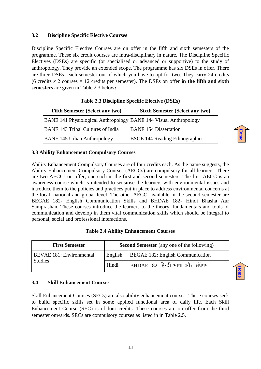#### <span id="page-12-0"></span>**3.2 Discipline Specific Elective Courses**

Discipline Specific Elective Courses are on offer in the fifth and sixth semesters of the programme. These six credit courses are intra-disciplinary in nature. The Discipline Specific Electives (DSEs) are specific (or specialised or advanced or supportive) to the study of anthropology. They provide an extended scope. The programme has six DSEs in offer. There are three DSEs each semester out of which you have to opt for two. They carry 24 credits (6 credits *x* 2 courses = 12 credits per semester). The DSEs on offer **in the fifth and sixth semesters** are given in Table 2.3 below**:**

| <b>Fifth Semester (Select any two)</b>                           | <b>Sixth Semester (Select any two)</b> |
|------------------------------------------------------------------|----------------------------------------|
| BANE 141 Physiological Anthropology BANE 144 Visual Anthropology |                                        |
| <b>BANE 143 Tribal Cultures of India</b>                         | <b>BANE 154 Dissertation</b>           |
| <b>BANE 145 Urban Anthropology</b>                               | <b>BSOE 144 Reading Ethnographies</b>  |

**[Home](#page-2-0)**

**[Home](#page-2-0)**

| Table 2.3 Discipline Specific Elective (DSEs) |
|-----------------------------------------------|
|-----------------------------------------------|

#### <span id="page-12-1"></span>**3.3 Ability Enhancement Compulsory Courses**

Ability Enhancement Compulsory Courses are of four credits each. As the name suggests, the Ability Enhancement Compulsory Courses (AECCs) are compulsory for all learners. There are two AECCs on offer, one each in the first and second semesters. The first AECC is an awareness course which is intended to sensitise the learners with environmental issues and introduce them to the policies and practices put in place to address environmental concerns at the local, national and global level. The other AECC, available in the second semester are BEGAE 182- English Communication Skills and BHDAE 182- Hindi Bhasha Aur Samprashan. These courses introduce the learners to the theory, fundamentals and tools of communication and develop in them vital communication skills which should be integral to personal, social and professional interactions.

| <b>First Semester</b>           |         | <b>Second Semester</b> (any one of the following) |
|---------------------------------|---------|---------------------------------------------------|
| <b>BEVAE 181: Environmental</b> | English | BEGAE 182: English Communication                  |
| <b>Studies</b>                  | Hindi   | BHDAE 182: हिन्दी भाषा और संप्रेषण                |

#### <span id="page-12-2"></span>**3.4 Skill Enhancement Courses**

Skill Enhancement Courses (SECs) are also ability enhancement courses. These courses seek to build specific skills set in some applied functional area of daily life. Each Skill Enhancement Course (SEC) is of four credits. These courses are on offer from the third semester onwards. SECs are compulsory courses as listed in in Table 2.5.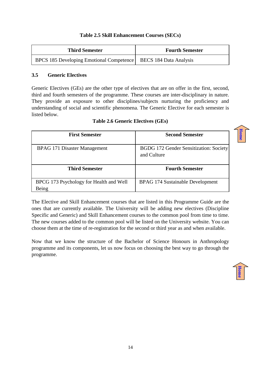#### **Table 2.5 Skill Enhancement Courses (SECs)**

| <b>Third Semester</b>                                             | <b>Fourth Semester</b> |
|-------------------------------------------------------------------|------------------------|
| BPCS 185 Developing Emotional Competence   BECS 184 Data Analysis |                        |

#### <span id="page-13-0"></span>**3.5 Generic Electives**

Generic Electives (GEs) are the other type of electives that are on offer in the first, second, third and fourth semesters of the programme. These courses are inter-disciplinary in nature. They provide an exposure to other disciplines/subjects nurturing the proficiency and understanding of social and scientific phenomena. The Generic Elective for each semester is listed below.

| <b>First Semester</b>                            | <b>Second Semester</b>                                |
|--------------------------------------------------|-------------------------------------------------------|
| BPAG 171 Disaster Management                     | BGDG 172 Gender Sensitization: Society<br>and Culture |
| <b>Third Semester</b>                            | <b>Fourth Semester</b>                                |
| BPCG 173 Psychology for Health and Well<br>Being | <b>BPAG 174 Sustainable Development</b>               |

The Elective and Skill Enhancement courses that are listed in this Programme Guide are the ones that are currently available. The University will be adding new electives (Discipline Specific and Generic) and Skill Enhancement courses to the common pool from time to time. The new courses added to the common pool will be listed on the University website. You can choose them at the time of re-registration for the second or third year as and when available.

Now that we know the structure of the Bachelor of Science Honours in Anthropology programme and its components, let us now focus on choosing the best way to go through the programme.

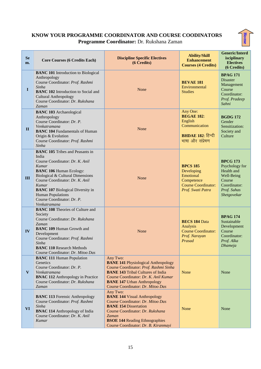#### **KNOW YOUR PROGRAMME COORDINATOR AND COURSE COODINATORS Programme Coordinator:** Dr. Rukshana Zaman

| <b>Se</b><br>m. | <b>Core Courses (6 Credits Each)</b>                                                                                                                                                                                                                                                                                        | <b>Discipline Specific Electives</b><br>(6 Credits)                                                                                                                                                                                                              | <b>Ability/Skill</b><br><b>Enhancement</b><br><b>Courses (4 Credits)</b>                                    | <b>Generic/Interd</b><br>isciplinary<br><b>Electives</b><br>(6 Credits)                                               |
|-----------------|-----------------------------------------------------------------------------------------------------------------------------------------------------------------------------------------------------------------------------------------------------------------------------------------------------------------------------|------------------------------------------------------------------------------------------------------------------------------------------------------------------------------------------------------------------------------------------------------------------|-------------------------------------------------------------------------------------------------------------|-----------------------------------------------------------------------------------------------------------------------|
| $\mathbf I$     | <b>BANC 101</b> Introduction to Biological<br>Anthropology<br>Course Coordinator: Prof. Rashmi<br>Sinha<br><b>BANC 102</b> Introduction to Social and<br><b>Cultural Anthropology</b><br>Course Coordinator: Dr. Rukshana<br>Zaman                                                                                          | None                                                                                                                                                                                                                                                             | <b>BEVAE 181</b><br>Environmental<br><b>Studies</b>                                                         | <b>BPAG 171</b><br><b>Disaster</b><br>Management<br>Course<br>Coordinator:<br>Prof. Pradeep<br>Sahni                  |
| $\mathbf{I}$    | <b>BANC 103</b> Archaeological<br>Anthropology<br>Course Coordinator: Dr. P.<br>Venkatramana<br><b>BANC 104 Fundamentals of Human</b><br>Origin & Evolution<br>Course Coordinator: Prof. Rashmi<br>Sinha                                                                                                                    | None                                                                                                                                                                                                                                                             | Any One:<br><b>BEGAE 182:</b><br>English<br>Communication<br><b>BHDAE 182: हिन्दी</b><br>भाषा और संप्रेषण   | <b>BGDG 172</b><br>Gender<br>Sensitization:<br>Society and<br>Culture                                                 |
| III             | <b>BANC 105</b> Tribes and Peasants in<br>India<br>Course Coordinator: Dr. K. Anil<br>Kumar<br><b>BANC 106 Human Ecology:</b><br>Biological & Cultural Dimensions<br>Course Coordinator: Dr. K. Anil<br>Kumar<br><b>BANC 107 Biological Diversity in</b><br>Human Populations<br>Course Coordinator: Dr. P.<br>Venkatramana | None                                                                                                                                                                                                                                                             | <b>BPCS 185</b><br>Developing<br>Emotional<br>Competence<br><b>Course Coordinator:</b><br>Prof. Swati Patra | <b>BPCG 173</b><br>Psychology for<br>Health and<br>Well-Being<br>Course<br>Coordinator:<br>Prof. Suhas<br>Shetgovekar |
| IV              | <b>BANC 108 Theories of Culture and</b><br>Society<br>Course Coordinator: Dr. Rukshana<br>Zaman<br><b>BANC 109 Human Growth and</b><br>Development<br>Course Coordinator: Prof. Rashmi<br>Sinha<br><b>BANC 110 Research Methods</b><br>Course Coordinator: Dr. Mitoo Das                                                    | None                                                                                                                                                                                                                                                             | <b>BECS 184 Data</b><br>Analysis<br><b>Course Coordinator:</b><br>Prof. Narayan<br>Prasad                   | <b>BPAG 174</b><br>Sustainable<br>Development<br>Course<br>Coordinator:<br>Prof. Alka<br>Dhameja                      |
| $\mathbf{V}$    | <b>BANC 111 Human Population</b><br>Genetics<br>Course Coordinator: Dr. P.<br>Venkatramana<br><b>BNAC 112 Anthropology in Practice</b><br>Course Coordinator: Dr. Rukshana<br>Zaman                                                                                                                                         | Any Two:<br><b>BANE 141 Physiological Anthropology</b><br>Course Coordinator: Prof. Rashmi Sinha<br><b>BANE 143 Tribal Cultures of India</b><br>Course Coordinator: Dr. K. Anil Kumar<br><b>BANE 147 Urban Anthropology</b><br>Course Coordinator: Dr. Mitoo Das | None                                                                                                        | None                                                                                                                  |
| <b>VI</b>       | <b>BANC 113 Forensic Anthropology</b><br>Course Coordinator: Prof. Rashmi<br>Sinha<br><b>BNAC 114 Anthropology of India</b><br>Course Coordinator: Dr. K. Anil<br>Kumar                                                                                                                                                     | Any Two:<br><b>BANE 144 Visual Anthropology</b><br>Course Coordinator: Dr. Mitoo Das<br><b>BANE 154 Dissertation</b><br>Course Coordinator: Dr. Rukshana<br>Zaman<br><b>BSOE 144 Reading Ethnographies</b><br>Course Coordinator: Dr. B. Kiranmayi               | None                                                                                                        | None                                                                                                                  |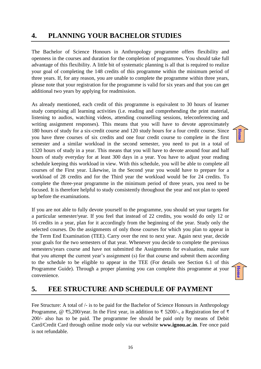## <span id="page-15-0"></span>**4. PLANNING YOUR BACHELOR STUDIES**

The Bachelor of Science Honours in Anthropology programme offers flexibility and openness in the courses and duration for the completion of programmes. You should take full advantage of this flexibility. A little bit of systematic planning is all that is required to realize your goal of completing the 148 credits of this programme within the minimum period of three years. If, for any reason, you are unable to complete the programme within three years, please note that your registration for the programme is valid for six years and that you can get additional two years by applying for readmission.

As already mentioned, each credit of this programme is equivalent to 30 hours of learner study comprising all learning activities (i.e. reading and comprehending the print material, listening to audios, watching videos, attending counselling sessions, teleconferencing and writing assignment responses). This means that you will have to devote approximately 180 hours of study for a six-credit course and 120 study hours for a four credit course. Since you have three courses of six credits and one four credit course to complete in the first semester and a similar workload in the second semester, you need to put in a total of 1320 hours of study in a year. This means that you will have to devote around four and half hours of study everyday for at least 300 days in a year. You have to adjust your reading schedule keeping this workload in view. With this schedule, you will be able to complete all courses of the First year. Likewise, in the Second year you would have to prepare for a workload of 28 credits and for the Third year the workload would be for 24 credits. To complete the three-year programme in the minimum period of three years, you need to be focused. It is therefore helpful to study consistently throughout the year and not plan to speed up before the examinations.

If you are not able to fully devote yourself to the programme, you should set your targets for a particular semester/year. If you feel that instead of 22 credits, you would do only 12 or 16 credits in a year, plan for it accordingly from the beginning of the year. Study only the selected courses. Do the assignments of only those courses for which you plan to appear in the Term End Examination (TEE). Carry over the rest to next year. Again next year, decide your goals for the two semesters of that year. Whenever you decide to complete the previous semesters/years course and have not submitted the Assignments for evaluation, make sure that you attempt the current year's assignment (s) for that course and submit them according to the schedule to be eligible to appear in the TEE (For details see Section 6.1 of this Programme Guide). Through a proper planning you can complete this programme at your convenience.



**[Home](#page-2-0)**

## <span id="page-15-1"></span>**5. FEE STRUCTURE AND SCHEDULE OF PAYMENT**

Fee Structure: A total of  $\ell$ - is to be paid for the Bachelor of Science Honours in Anthropology Programme, @ ₹5,200/year. In the First year, in addition to ₹ 5200/-, a Registration fee of ₹ 200/- also has to be paid. The programme fee should be paid only by means of Debit Card/Credit Card through online mode only via our website **www.ignou.ac.in**. Fee once paid is not refundable.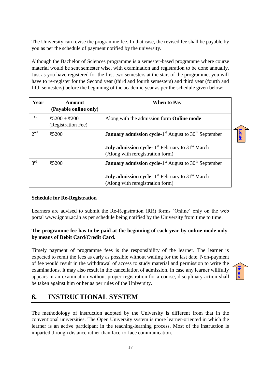The University can revise the programme fee. In that case, the revised fee shall be payable by you as per the schedule of payment notified by the university.

Although the Bachelor of Sciences programme is a semester-based programme where course material would be sent semester wise, with examination and registration to be done annually. Just as you have registered for the first two semesters at the start of the programme, you will have to re-register for the Second year (third and fourth semesters) and third year (fourth and fifth semesters) before the beginning of the academic year as per the schedule given below:

| Year            | <b>Amount</b><br>(Payable online only) | <b>When to Pay</b>                                                                                                                                                                      |
|-----------------|----------------------------------------|-----------------------------------------------------------------------------------------------------------------------------------------------------------------------------------------|
| 1 <sup>st</sup> | ₹5200 + ₹200<br>(Registration Fee)     | Along with the admission form <b>Online mode</b>                                                                                                                                        |
| 2 <sup>nd</sup> | ₹5200                                  | <b>January admission cycle</b> -1 <sup>st</sup> August to $30th$ September<br><b>July admission cycle-</b> $1st$ February to 31 <sup>st</sup> March<br>(Along with reregistration form) |
| $3^{\text{rd}}$ | ₹5200                                  | <b>January admission cycle</b> -1 <sup>st</sup> August to $30th$ September<br><b>July admission cycle-</b> $1st$ February to 31 <sup>st</sup> March<br>(Along with reregistration form) |

#### **Schedule for Re-Registration**

Learners are advised to submit the Re-Registration (RR) forms 'Online' only on the web portal www.ignou.ac.in as per schedule being notified by the University from time to time.

#### **The programme fee has to be paid at the beginning of each year by online mode only by means of Debit Card/Credit Card.**

Timely payment of programme fees is the responsibility of the learner. The learner is expected to remit the fees as early as possible without waiting for the last date. Non-payment of fee would result in the withdrawal of access to study material and permission to write the examinations. It may also result in the cancellation of admission. In case any learner willfully appears in an examination without proper registration for a course, disciplinary action shall be taken against him or her as per rules of the University.



## <span id="page-16-0"></span>**6. INSTRUCTIONAL SYSTEM**

The methodology of instruction adopted by the University is different from that in the conventional universities. The Open University system is more learner-oriented in which the learner is an active participant in the teaching-learning process. Most of the instruction is imparted through distance rather than face-to-face communication.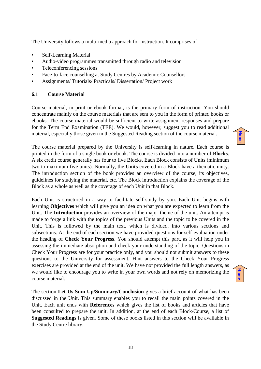The University follows a multi-media approach for instruction. It comprises of

- Self-Learning Material
- Audio-video programmes transmitted through radio and television
- Teleconferencing sessions
- Face-to-face counselling at Study Centres by Academic Counsellors
- Assignments/ Tutorials/ Practicals/ Dissertation/ Project work

#### <span id="page-17-0"></span>**6.1 Course Material**

Course material, in print or ebook format, is the primary form of instruction. You should concentrate mainly on the course materials that are sent to you in the form of printed books or ebooks. The course material would be sufficient to write assignment responses and prepare for the Term End Examination (TEE). We would, however, suggest you to read additional material, especially those given in the Suggested Reading section of the course material.

The course material prepared by the University is self-learning in nature. Each course is printed in the form of a single book or ebook. The course is divided into a number of **Blocks**. A six credit course generally has four to five Blocks. Each Block consists of Units (minimum two to maximum five units). Normally, the **Units** covered in a Block have a thematic unity. The introduction section of the book provides an overview of the course, its objectives, guidelines for studying the material, etc. The Block introduction explains the coverage of the Block as a whole as well as the coverage of each Unit in that Block.

Each Unit is structured in a way to facilitate self-study by you. Each Unit begins with learning **Objectives** which will give you an idea on what you are expected to learn from the Unit. The **Introduction** provides an overview of the major theme of the unit. An attempt is made to forge a link with the topics of the previous Units and the topic to be covered in the Unit. This is followed by the main text, which is divided, into various sections and subsections. At the end of each section we have provided questions for self-evaluation under the heading of **Check Your Progress**. You should attempt this part, as it will help you in assessing the immediate absorption and check your understanding of the topic. Questions in Check Your Progress are for your practice only, and you should not submit answers to these questions to the University for assessment. Hint answers to the Check Your Progress exercises are provided at the end of the unit. We have not provided the full length answers, as we would like to encourage you to write in your own words and not rely on memorizing the course material.

The section **Let Us Sum Up/Summary/Conclusion** gives a brief account of what has been discussed in the Unit. This summary enables you to recall the main points covered in the Unit. Each unit ends with **References** which gives the list of books and articles that have been consulted to prepare the unit. In addition, at the end of each Block/Course, a list of **Suggested Readings** is given. Some of these books listed in this section will be available in the Study Centre library.

**[Home](#page-2-0)**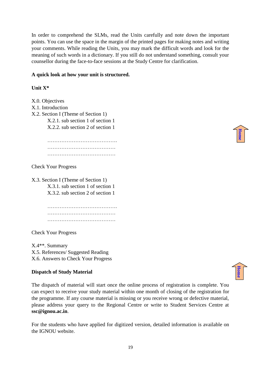In order to comprehend the SLMs, read the Units carefully and note down the important points. You can use the space in the margin of the printed pages for making notes and writing your comments. While reading the Units, you may mark the difficult words and look for the meaning of such words in a dictionary. If you still do not understand something, consult your counsellor during the face-to-face sessions at the Study Centre for clarification.

#### **A quick look at how your unit is structured.**

#### **Unit X\***

X.0. Objectives X.1. Introduction X.2. Section I (Theme of Section 1) X.2.1. sub section 1 of section 1 X.2.2. sub section 2 of section 1

> …………………………………. ………………………………… …………………………………

Check Your Progress

X.3. Section I (Theme of Section 1) X.3.1. sub section 1 of section 1 X.3.2. sub section 2 of section 1

> …………………………………. ……………………………………………… …………………………………

Check Your Progress

X.4\*\*. Summary X.5. References/ Suggested Reading X.6. Answers to Check Your Progress

#### **Dispatch of Study Material**

The dispatch of material will start once the online process of registration is complete. You can expect to receive your study material within one month of closing of the registration for the programme. If any course material is missing or you receive wrong or defective material, please address your query to the Regional Centre or write to Student Services Centre at **ssc@ignou.ac.in**.

For the students who have applied for digitized version, detailed information is available on the IGNOU website.

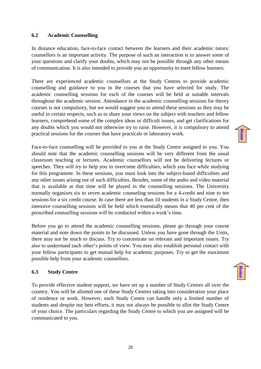#### <span id="page-19-0"></span>**6.2 Academic Counselling**

In distance education, face-to-face contact between the learners and their academic tutors/ counsellors is an important activity. The purpose of such an interaction is to answer some of your questions and clarify your doubts, which may not be possible through any other means of communication. It is also intended to provide you an opportunity to meet fellow learners.

There are experienced academic counsellors at the Study Centres to provide academic counselling and guidance to you in the courses that you have selected for study. The academic counselling sessions for each of the courses will be held at suitable intervals throughout the academic session. Attendance in the academic counselling sessions for theory courses is not compulsory, but we would suggest you to attend these sessions as they may be useful in certain respects, such as to share your views on the subject with teachers and fellow learners, comprehend some of the complex ideas or difficult issues, and get clarifications for any doubts which you would not otherwise try to raise. However, it is compulsory to attend practical sessions for the courses that have practicals or laboratory work.

Face-to-face counselling will be provided to you at the Study Centre assigned to you. You should note that the academic counselling sessions will be very different from the usual classroom teaching or lectures. Academic counsellors will not be delivering lectures or speeches. They will try to help you to overcome difficulties, which you face while studying for this programme. In these sessions, you must look into the subject-based difficulties and any other issues arising out of such difficulties. Besides, some of the audio and video material that is available at that time will be played in the counselling sessions. The University normally organizes six to seven academic counseling sessions for a 4-credit and nine to ten sessions for a six credit course. In case there are less than 10 students in a Study Centre, then intensive counselling sessions will be held which essentially means that 40 per cent of the prescribed counselling sessions will be conducted within a week's time.

Before you go to attend the academic counselling sessions, please go through your course material and note down the points to be discussed. Unless you have gone through the Units, there may not be much to discuss. Try to concentrate on relevant and important issues. Try also to understand each other's points of view. You may also establish personal contact with your fellow participants to get mutual help for academic purposes. Try to get the maximum possible help from your academic counsellors.

#### <span id="page-19-1"></span>**6.3 Study Centre**

To provide effective student support, we have set up a number of Study Centres all over the country. You will be allotted one of these Study Centres taking into consideration your place of residence or work. However, each Study Centre can handle only a limited number of students and despite our best efforts, it may not always be possible to allot the Study Centre of your choice. The particulars regarding the Study Centre to which you are assigned will be communicated to you.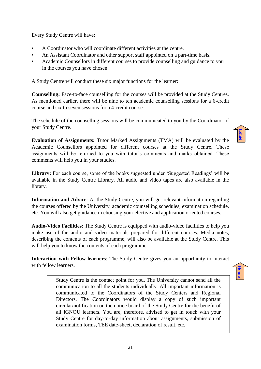Every Study Centre will have:

- A Coordinator who will coordinate different activities at the centre.
- An Assistant Coordinator and other support staff appointed on a part-time basis.
- Academic Counsellors in different courses to provide counselling and guidance to you in the courses you have chosen.

A Study Centre will conduct these six major functions for the learner:

**Counselling:** Face-to-face counselling for the courses will be provided at the Study Centres. As mentioned earlier, there will be nine to ten academic counselling sessions for a 6-credit course and six to seven sessions for a 4-credit course.

The schedule of the counselling sessions will be communicated to you by the Coordinator of your Study Centre.

**Evaluation of Assignments:** Tutor Marked Assignments (TMA) will be evaluated by the Academic Counsellors appointed for different courses at the Study Centre. These assignments will be returned to you with tutor's comments and marks obtained. These comments will help you in your studies.

Library: For each course, some of the books suggested under 'Suggested Readings' will be available in the Study Centre Library. All audio and video tapes are also available in the library.

**Information and Advice**: At the Study Centre, you will get relevant information regarding the courses offered by the University, academic counselling schedules, examination schedule, etc. You will also get guidance in choosing your elective and application oriented courses.

**Audio-Video Facilities:** The Study Centre is equipped with audio-video facilities to help you make use of the audio and video materials prepared for different courses. Media notes, describing the contents of each programme, will also be available at the Study Centre. This will help you to know the contents of each programme.

**Interaction with Fellow-learners**: The Study Centre gives you an opportunity to interact with fellow learners.

**[Home](#page-2-0)**

**[Home](#page-2-0)**

Study Centre is the contact point for you. The University cannot send all the communication to all the students individually. All important information is communicated to the Coordinators of the Study Centers and Regional Directors. The Coordinators would display a copy of such important circular/notification on the notice board of the Study Centre for the benefit of all IGNOU learners. You are, therefore, advised to get in touch with your Study Centre for day-to-day information about assignments, submission of examination forms, TEE date-sheet, declaration of result, etc.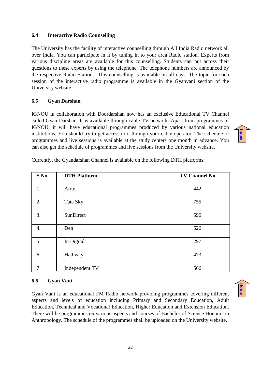#### <span id="page-21-0"></span>**6.4 Interactive Radio Counselling**

The University has the facility of interactive counselling through All India Radio network all over India. You can participate in it by tuning in to your area Radio station. Experts from various discipline areas are available for this counselling. Students can put across their questions to these experts by using the telephone. The telephone numbers are announced by the respective Radio Stations. This counselling is available on all days. The topic for each session of the interactive radio programme is available in the Gyanvani section of the University website.

#### <span id="page-21-1"></span>**6.5 Gyan Darshan**

IGNOU in collaboration with Doordarshan now has an exclusive Educational TV Channel called Gyan Darshan. It is available through cable TV network. Apart from programmes of IGNOU, it will have educational programmes produced by various national education institutions. You should try to get access to it through your cable operator. The schedule of programmes and live sessions is available at the study centers one month in advance. You can also get the schedule of programmes and live sessions from the University website.

| S.No. | <b>DTH Platform</b> | <b>TV Channel No</b> |
|-------|---------------------|----------------------|
| 1.    | Airtel              | 442                  |
| 2.    | Tata Sky            | 755                  |
| 3.    | SunDirect           | 596                  |
| 4.    | Den                 | 526                  |
| 5.    | In Digital          | 297                  |
| 6.    | Hathway             | 473                  |
| 7     | Independent TV      | 566                  |

Currently, the Gyandarshan Channel is available on the following DTH platforms:

#### <span id="page-21-2"></span>**6.6 Gyan Vani**

Gyan Vani is an educational FM Radio network providing programmes covering different aspects and levels of education including Primary and Secondary Education, Adult Education, Technical and Vocational Education, Higher Education and Extension Education. There will be programmes on various aspects and courses of Bachelor of Science Honours in Anthropology. The schedule of the programmes shall be uploaded on the University website.

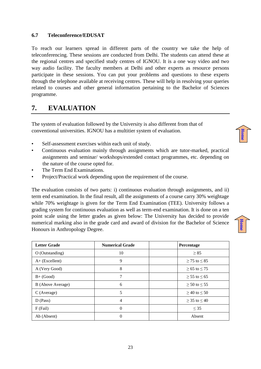#### <span id="page-22-0"></span>**6.7 Teleconference/EDUSAT**

To reach our learners spread in different parts of the country we take the help of teleconferencing. These sessions are conducted from Delhi. The students can attend these at the regional centres and specified study centres of IGNOU. It is a one way video and two way audio facility. The faculty members at Delhi and other experts as resource persons participate in these sessions. You can put your problems and questions to these experts through the telephone available at receiving centres. These will help in resolving your queries related to courses and other general information pertaining to the Bachelor of Sciences programme.

## <span id="page-22-1"></span>**7. EVALUATION**

The system of evaluation followed by the University is also different from that of conventional universities. IGNOU has a multitier system of evaluation.

- Self-assessment exercises within each unit of study.
- Continuous evaluation mainly through assignments which are tutor-marked, practical assignments and seminar/ workshops/extended contact programmes, etc. depending on the nature of the course opted for.
- The Term End Examinations.
- Project/Practical work depending upon the requirement of the course.

The evaluation consists of two parts: i) continuous evaluation through assignments, and ii) term end examination. In the final result, all the assignments of a course carry 30% weightage while 70% weightage is given for the Term End Examination (TEE). University follows a grading system for continuous evaluation as well as term-end examination. It is done on a ten point scale using the letter grades as given below: The University has decided to provide numerical marking also in the grade card and award of division for the Bachelor of Science Honours in Anthropology Degree.

| <b>Letter Grade</b> | <b>Numerical Grade</b> | Percentage             |
|---------------------|------------------------|------------------------|
| O (Outstanding)     | 10                     | $\geq 85$              |
| $A+$ (Excellent)    | 9                      | $\geq$ 75 to $\leq$ 85 |
| A (Very Good)       | 8                      | $\geq 65$ to $\leq 75$ |
| $B+ (Good)$         | 7                      | $> 55$ to $\le 65$     |
| B (Above Average)   | 6                      | $\geq 50$ to $\leq 55$ |
| C (Average)         | 5                      | $\geq$ 40 to $\leq$ 50 |
| $D$ (Pass)          | 4                      | $> 35$ to $< 40$       |
| $F$ (Fail)          | $\Omega$               | $\leq$ 35              |
| Ab (Absent)         | 0                      | Absent                 |



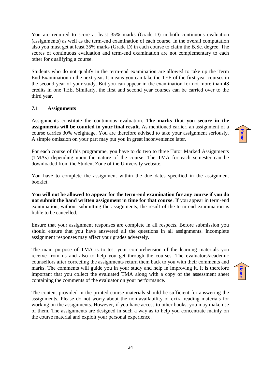You are required to score at least 35% marks (Grade D) in both continuous evaluation (assignments) as well as the term-end examination of each course. In the overall computation also you must get at least 35% marks (Grade D) in each course to claim the B.Sc. degree. The scores of continuous evaluation and term-end examination are not complementary to each other for qualifying a course.

Students who do not qualify in the term-end examination are allowed to take up the Term End Examination in the next year. It means you can take the TEE of the first year courses in the second year of your study. But you can appear in the examination for not more than 48 credits in one TEE. Similarly, the first and second year courses can be carried over to the third year.

#### <span id="page-23-0"></span>**7.1 Assignments**

Assignments constitute the continuous evaluation. **The marks that you secure in the assignments will be counted in your final result.** As mentioned earlier, an assignment of a course carries 30% weightage. You are therefore advised to take your assignment seriously. A simple omission on your part may put you in great inconvenience later.

For each course of this programme, you have to do two to three Tutor Marked Assignments (TMAs) depending upon the nature of the course. The TMA for each semester can be downloaded from the Student Zone of the University website.

You have to complete the assignment within the due dates specified in the assignment booklet.

**You will not be allowed to appear for the term-end examination for any course if you do not submit the hand written assignment in time for that course**. If you appear in term-end examination, without submitting the assignments, the result of the term-end examination is liable to be cancelled.

Ensure that your assignment responses are complete in all respects. Before submission you should ensure that you have answered all the questions in all assignments. Incomplete assignment responses may affect your grades adversely.

The main purpose of TMA is to test your comprehension of the learning materials you receive from us and also to help you get through the courses. The evaluators/academic counsellors after correcting the assignments return them back to you with their comments and marks. The comments will guide you in your study and help in improving it. It is therefore important that you collect the evaluated TMA along with a copy of the assessment sheet containing the comments of the evaluator on your performance.

The content provided in the printed course materials should be sufficient for answering the assignments. Please do not worry about the non-availability of extra reading materials for working on the assignments. However, if you have access to other books, you may make use of them. The assignments are designed in such a way as to help you concentrate mainly on the course material and exploit your personal experience.

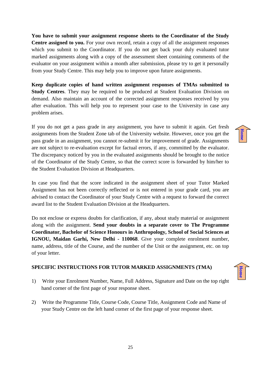**You have to submit your assignment response sheets to the Coordinator of the Study Centre assigned to you.** For your own record, retain a copy of all the assignment responses which you submit to the Coordinator. If you do not get back your duly evaluated tutor marked assignments along with a copy of the assessment sheet containing comments of the evaluator on your assignment within a month after submission, please try to get it personally from your Study Centre. This may help you to improve upon future assignments.

**Keep duplicate copies of hand written assignment responses of TMAs submitted to Study Centres**. They may be required to be produced at Student Evaluation Division on demand. Also maintain an account of the corrected assignment responses received by you after evaluation. This will help you to represent your case to the University in case any problem arises.

If you do not get a pass grade in any assignment, you have to submit it again. Get fresh assignments from the Student Zone tab of the University website. However, once you get the pass grade in an assignment, you cannot re-submit it for improvement of grade. Assignments are not subject to re-evaluation except for factual errors, if any, committed by the evaluator. The discrepancy noticed by you in the evaluated assignments should be brought to the notice of the Coordinator of the Study Centre, so that the correct score is forwarded by him/her to the Student Evaluation Division at Headquarters.

In case you find that the score indicated in the assignment sheet of your Tutor Marked Assignment has not been correctly reflected or is not entered in your grade card, you are advised to contact the Coordinator of your Study Centre with a request to forward the correct award list to the Student Evaluation Division at the Headquarters.

Do not enclose or express doubts for clarification, if any, about study material or assignment along with the assignment. **Send your doubts in a separate cover to The Programme Coordinator, Bachelor of Science Honours in Anthropology, School of Social Sciences at IGNOU, Maidan Garhi, New Delhi - 110068**. Give your complete enrolment number, name, address, title of the Course, and the number of the Unit or the assignment, etc. on top of your letter.

#### **SPECIFIC INSTRUCTIONS FOR TUTOR MARKED ASSIGNMENTS (TMA)**

- 1) Write your Enrolment Number, Name, Full Address, Signature and Date on the top right hand corner of the first page of your response sheet.
- 2) Write the Programme Title, Course Code, Course Title, Assignment Code and Name of your Study Centre on the left hand corner of the first page of your response sheet.

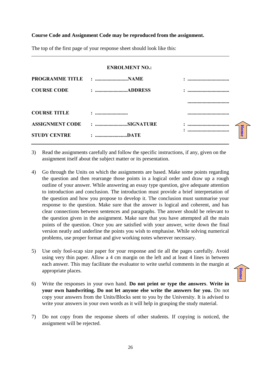#### **Course Code and Assignment Code may be reproduced from the assignment.**

| <b>ENROLMENT NO.:</b>  |                          |  |
|------------------------|--------------------------|--|
| <b>PROGRAMME TITLE</b> | : NAME                   |  |
| <b>COURSE CODE</b>     |                          |  |
|                        |                          |  |
| <b>COURSE TITLE</b>    | $\overline{\phantom{a}}$ |  |
| <b>ASSIGNMENT CODE</b> | : SIGNATURE              |  |
| <b>STUDY CENTRE</b>    | : DATE                   |  |

The top of the first page of your response sheet should look like this:

- 3) Read the assignments carefully and follow the specific instructions, if any, given on the assignment itself about the subject matter or its presentation.
- 4) Go through the Units on which the assignments are based. Make some points regarding the question and then rearrange those points in a logical order and draw up a rough outline of your answer. While answering an essay type question, give adequate attention to introduction and conclusion. The introduction must provide a brief interpretation of the question and how you propose to develop it. The conclusion must summarise your response to the question. Make sure that the answer is logical and coherent, and has clear connections between sentences and paragraphs. The answer should be relevant to the question given in the assignment. Make sure that you have attempted all the main points of the question. Once you are satisfied with your answer, write down the final version neatly and underline the points you wish to emphasise. While solving numerical problems, use proper format and give working notes wherever necessary.
- 5) Use only fool-scap size paper for your response and tie all the pages carefully. Avoid using very thin paper. Allow a 4 cm margin on the left and at least 4 lines in between each answer. This may facilitate the evaluator to write useful comments in the margin at appropriate places.
- 6) Write the responses in your own hand. **Do not print or type the answers**. **Write in your own handwriting. Do not let anyone else write the answers for you.** Do not copy your answers from the Units/Blocks sent to you by the University. It is advised to write your answers in your own words as it will help in grasping the study material.
- 7) Do not copy from the response sheets of other students. If copying is noticed, the assignment will be rejected.

**[Home](#page-2-0)**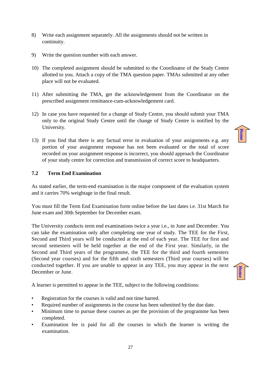- 8) Write each assignment separately. All the assignments should not be written in continuity.
- 9) Write the question number with each answer.
- 10) The completed assignment should be submitted to the Coordinator of the Study Centre allotted to you. Attach a copy of the TMA question paper. TMAs submitted at any other place will not be evaluated.
- 11) After submitting the TMA, get the acknowledgement from the Coordinator on the prescribed assignment remittance-cum-acknowledgement card.
- 12) In case you have requested for a change of Study Centre, you should submit your TMA only to the original Study Centre until the change of Study Centre is notified by the University.
- 13) If you find that there is any factual error in evaluation of your assignments e.g. any portion of your assignment response has not been evaluated or the total of score recorded on your assignment response is incorrect, you should approach the Coordinator of your study centre for correction and transmission of correct score to headquarters.

#### <span id="page-26-0"></span>**7.2 Term End Examination**

As stated earlier, the term-end examination is the major component of the evaluation system and it carries 70% weightage in the final result.

You must fill the Term End Examination form online before the last dates i.e. 31st March for June exam and 30th September for December exam.

The University conducts term end examinations twice a year i.e., in June and December. You can take the examination only after completing one year of study. The TEE for the First, Second and Third years will be conducted at the end of each year. The TEE for first and second semesters will be held together at the end of the First year. Similarly, in the Second and Third years of the programme, the TEE for the third and fourth semesters (Second year courses) and for the fifth and sixth semesters (Third year courses) will be conducted together. If you are unable to appear in any TEE, you may appear in the next December or June.

**[Home](#page-2-0)**

**[Home](#page-2-0)**

A learner is permitted to appear in the TEE, subject to the following conditions:

- Registration for the courses is valid and not time barred.
- Required number of assignments in the course has been submitted by the due date.
- Minimum time to pursue these courses as per the provision of the programme has been completed.
- Examination fee is paid for all the courses in which the learner is writing the examination.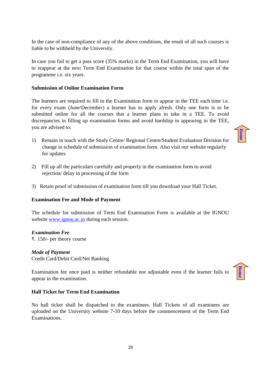28

In the case of non-compliance of any of the above conditions, the result of all such courses is liable to be withheld by the University.

In case you fail to get a pass score (35% marks) in the Term End Examination, you will have to reappear at the next Term End Examination for that course within the total span of the programme i.e. six years.

#### **Submission of Online Examination Form**

The learners are required to fill in the Examination form to appear in the TEE each time i.e. for every exam (June/December) a learner has to apply afresh. Only one form is to be submitted online for all the courses that a learner plans to take in a TEE. To avoid discrepancies in filling up examination forms and avoid hardship in appearing in the TEE, you are advised to:

- 1) Remain in touch with the Study Centre/ Regional Centre/Student Evaluation Division for change in schedule of submission of examination form. Also visit our website regularly for updates
- 2) Fill up all the particulars carefully and properly in the examination form to avoid rejection/ delay in processing of the form
- 3) Retain proof of submission of examination form till you download your Hall Ticket.

#### **Examination Fee and Mode of Payment**

The schedule for submission of Term End Examination Form is available at the IGNOU website [www.ignou.ac.in](http://www.ignou.ac.in/) during each session.

#### *Examination Fee*

₹. 150/- per theory course

#### *Mode of Payment*

Credit Card/Debit Card/Net Banking

Examination fee once paid is neither refundable nor adjustable even if the learner fails to appear in the examination.

#### **Hall Ticket for Term End Examination**

No hall ticket shall be dispatched to the examinees. Hall Tickets of all examinees are uploaded on the University website 7-10 days before the commencement of the Term End Examinations.



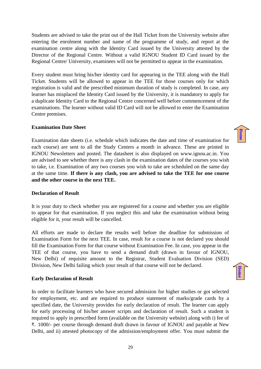Students are advised to take the print out of the Hall Ticket from the University website after entering the enrolment number and name of the programme of study, and report at the examination centre along with the Identity Card issued by the University attested by the Director of the Regional Centre. Without a valid IGNOU Student ID Card issued by the Regional Centre/ University, examinees will not be permitted to appear in the examination.

Every student must bring his/her identity card for appearing in the TEE along with the Hall Ticket. Students will be allowed to appear in the TEE for those courses only for which registration is valid and the prescribed minimum duration of study is completed. In case, any learner has misplaced the Identity Card issued by the University, it is mandatory to apply for a duplicate Identity Card to the Regional Centre concerned well before commencement of the examinations. The learner without valid ID Card will not be allowed to enter the Examination Centre premises.

#### **Examination Date Sheet**

Examination date sheets (i.e. schedule which indicates the date and time of examination for each course) are sent to all the Study Centers a month in advance. These are printed in IGNOU Newsletters and posted. The datasheet is also displayed on www.ignou.ac.in. You are advised to see whether there is any clash in the examination dates of the courses you wish to take, i.e. Examination of any two courses you wish to take are scheduled on the same day at the same time. **If there is any clash, you are advised to take the TEE for one course and the other course in the next TEE.**

#### **Declaration of Result**

It is your duty to check whether you are registered for a course and whether you are eligible to appear for that examination. If you neglect this and take the examination without being eligible for it, your result will be cancelled.

All efforts are made to declare the results well before the deadline for submission of Examination Form for the next TEE. In case, result for a course is not declared you should fill the Examination Form for that course without Examination Fee. In case, you appear in the TEE of that course, you have to send a demand draft (drawn in favour of IGNOU, New Delhi) of requisite amount to the Registrar, Student Evaluation Division (SED) Division, New Delhi failing which your result of that course will not be declared.

#### **Early Declaration of Result**

In order to facilitate learners who have secured admission for higher studies or got selected for employment, etc. and are required to produce statement of marks/grade cards by a specified date, the University provides for early declaration of result. The learner can apply for early processing of his/her answer scripts and declaration of result. Such a student is required to apply in prescribed form (available on the University website) along with i) fee of ₹. 1000/- per course through demand draft drawn in favour of IGNOU and payable at New Delhi, and ii) attested photocopy of the admission/employment offer. You must submit the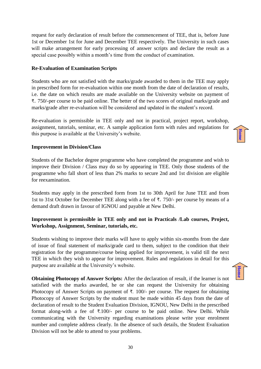**[Home](#page-2-0)**

request for early declaration of result before the commencement of TEE, that is, before June 1st or December 1st for June and December TEE respectively. The University in such cases will make arrangement for early processing of answer scripts and declare the result as a special case possibly within a month's time from the conduct of examination.

#### **Re-Evaluation of Examination Scripts**

Students who are not satisfied with the marks/grade awarded to them in the TEE may apply in prescribed form for re-evaluation within one month from the date of declaration of results, i.e. the date on which results are made available on the University website on payment of ₹. 750/-per course to be paid online. The better of the two scores of original marks/grade and marks/grade after re-evaluation will be considered and updated in the student's record.

Re-evaluation is permissible in TEE only and not in practical, project report, workshop, assignment, tutorials, seminar, etc. A sample application form with rules and regulations for this purpose is available at the University's website.

#### **Improvement in Division/Class**

Students of the Bachelor degree programme who have completed the programme and wish to improve their Division / Class may do so by appearing in TEE. Only those students of the programme who fall short of less than 2% marks to secure 2nd and 1st division are eligible for reexamination.

Students may apply in the prescribed form from 1st to 30th April for June TEE and from 1st to 31st October for December TEE along with a fee of ₹. 750/- per course by means of a demand draft drawn in favour of IGNOU and payable at New Delhi.

#### **Improvement is permissible in TEE only and not in Practicals /Lab courses, Project, Workshop, Assignment, Seminar, tutorials, etc.**

Students wishing to improve their marks will have to apply within six-months from the date of issue of final statement of marks/grade card to them, subject to the condition that their registration for the programme/course being applied for improvement, is valid till the next TEE in which they wish to appear for improvement. Rules and regulations in detail for this purpose are available at the University's website.

**Obtaining Photocopy of Answer Scripts:** After the declaration of result, if the learner is not satisfied with the marks awarded, he or she can request the University for obtaining Photocopy of Answer Scripts on payment of ₹. 100/- per course. The request for obtaining Photocopy of Answer Scripts by the student must be made within 45 days from the date of declaration of result to the Student Evaluation Division, IGNOU, New Delhi in the prescribed format along-with a fee of  $\overline{\tau}$ .100/- per course to be paid online. New Delhi. While communicating with the University regarding examinations please write your enrolment number and complete address clearly. In the absence of such details, the Student Evaluation Division will not be able to attend to your problems.

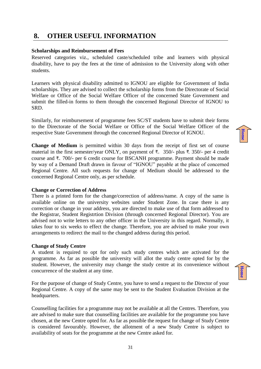## <span id="page-30-0"></span>**8. OTHER USEFUL INFORMATION**

#### **Scholarships and Reimbursement of Fees**

Reserved categories viz., scheduled caste/scheduled tribe and learners with physical disability, have to pay the fees at the time of admission to the University along with other students.

Learners with physical disability admitted to IGNOU are eligible for Government of India scholarships. They are advised to collect the scholarship forms from the Directorate of Social Welfare or Office of the Social Welfare Officer of the concerned State Government and submit the filled-in forms to them through the concerned Regional Director of IGNOU to SRD.

Similarly, for reimbursement of programme fees SC/ST students have to submit their forms to the Directorate of the Social Welfare or Office of the Social Welfare Officer of the respective State Government through the concerned Regional Director of IGNOU.

**Change of Medium** is permitted within 30 days from the receipt of first set of course material in the first semester/year ONLY, on payment of ₹. 350/- plus ₹. 350/- per 4 credit course and ₹. 700/- per 6 credit course for BSCANH programme. Payment should be made by way of a Demand Draft drawn in favour of "IGNOU" payable at the place of concerned Regional Centre. All such requests for change of Medium should be addressed to the concerned Regional Centre only, as per schedule.

#### **Change or Correction of Address**

There is a printed form for the change/correction of address/name. A copy of the same is available online on the university websites under Student Zone. In case there is any correction or change in your address, you are directed to make use of that form addressed to the Registrar, Student Registrtion Division (through concerned Regional Director). You are advised not to write letters to any other officer in the University in this regard. Normally, it takes four to six weeks to effect the change. Therefore, you are advised to make your own arrangements to redirect the mail to the changed address during this period.

#### **Change of Study Centre**

A student is required to opt for only such study centres which are activated for the programme. As far as possible the university will allot the study centre opted for by the student. However, the university may change the study centre at its convenience without concurrence of the student at any time.

For the purpose of change of Study Centre, you have to send a request to the Director of your Regional Centre. A copy of the same may be sent to the Student Evaluation Division at the headquarters.

Counselling facilities for a programme may not be available at all the Centres. Therefore, you are advised to make sure that counselling facilities are available for the programme you have chosen, at the new Centre opted for. As far as possible the request for change of Study Centre is considered favourably. However, the allotment of a new Study Centre is subject to availability of seats for the programme at the new Centre asked for.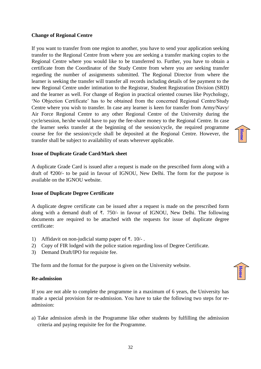#### **Change of Regional Centre**

If you want to transfer from one region to another, you have to send your application seeking transfer to the Regional Centre from where you are seeking a transfer marking copies to the Regional Centre where you would like to be transferred to. Further, you have to obtain a certificate from the Coordinator of the Study Centre from where you are seeking transfer regarding the number of assignments submitted. The Regional Director from where the learner is seeking the transfer will transfer all records including details of fee payment to the new Regional Centre under intimation to the Registrar, Student Registration Division (SRD) and the learner as well. For change of Region in practical oriented courses like Psychology, 'No Objection Certificate' has to be obtained from the concerned Regional Centre/Study Centre where you wish to transfer. In case any learner is keen for transfer from Army/Navy/ Air Force Regional Centre to any other Regional Centre of the University during the cycle/session, he/she would have to pay the fee-share money to the Regional Centre. In case the learner seeks transfer at the beginning of the session/cycle, the required programme course fee for the session/cycle shall be deposited at the Regional Centre. However, the transfer shall be subject to availability of seats wherever applicable.

#### **Issue of Duplicate Grade Card/Mark sheet**

A duplicate Grade Card is issued after a request is made on the prescribed form along with a draft of ₹200/- to be paid in favour of IGNOU, New Delhi. The form for the purpose is available on the IGNOU website.

#### **Issue of Duplicate Degree Certificate**

A duplicate degree certificate can be issued after a request is made on the prescribed form along with a demand draft of  $\overline{\tau}$ . 750/- in favour of IGNOU, New Delhi. The following documents are required to be attached with the requests for issue of duplicate degree certificate:

- 1) Affidavit on non-judicial stamp paper of ₹. 10/- .
- 2) Copy of FIR lodged with the police station regarding loss of Degree Certificate.
- 3) Demand Draft/IPO for requisite fee.

The form and the format for the purpose is given on the University website.

#### **Re-admission**

If you are not able to complete the programme in a maximum of 6 years, the University has made a special provision for re-admission. You have to take the following two steps for readmission:

a) Take admission afresh in the Programme like other students by fulfilling the admission criteria and paying requisite fee for the Programme.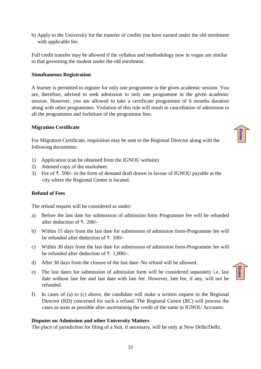33

b) Apply to the University for the transfer of credits you have earned under the old enrolment with applicable fee.

Full credit transfer may be allowed if the syllabus and methodology now in vogue are similar to that governing the student under the old enrolment.

#### **Simultaneous Registration**

A learner is permitted to register for only one programme in the given academic session. You are, therefore, advised to seek admission to only one programme in the given academic session. However, you are allowed to take a certificate programme of 6 months duration along with other programmes. Violation of this rule will result in cancellation of admission to all the programmes and forfeiture of the programme fees.

#### **Migration Certificate**

For Migration Certificate, requisition may be sent to the Regional Director along with the following documents:

- 1) Application (can be obtained from the IGNOU website)
- 2) Attested copy of the marksheet.
- 3) Fee of ₹. 500/- in the form of demand draft drawn in favour of IGNOU payable at the city where the Regional Centre is located.

#### **Refund of Fees**

The refund request will be considered as under:

- a) Before the last date for submission of admission form Programme fee will be refunded after deduction of ₹. 200/-
- b) Within 15 days from the last date for submission of admission form-Programme fee will be refunded after deduction of ₹. 500/-
- c) Within 30 days from the last date for submission of admission form-Programme fee will be refunded after deduction of ₹. 1,000/-.
- d) After 30 days from the closure of the last date- No refund will be allowed.
- e) The last dates for submission of admission form will be considered separately i.e. last date without late fee and last date with late fee. However, late fee, if any, will not be refunded.
- f) In cases of (a) to (c) above, the candidate will make a written request to the Regional Director (RD) concerned for such a refund. The Regional Centre (RC) will process the cases as soon as possible after ascertaining the credit of the same in IGNOU Accounts.

#### **Disputes on Admission and other University Matters**

The place of jurisdiction for filing of a Suit, if necessary, will be only at New Delhi/Delhi.



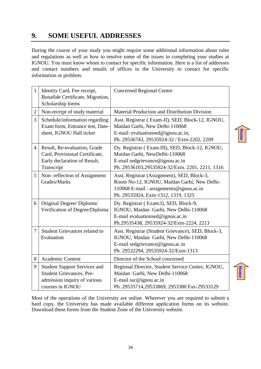## <span id="page-33-0"></span>**9. SOME USEFUL ADDRESSES**

During the course of your study you might require some additional information about rules and regulations as well as how to resolve some of the issues in completing your studies at IGNOU. You must know whom to contact for specific information. Here is a list of addresses and contact numbers and emails of offices in the University to contact for specific information or problem.

| $\mathbf{1}$   | Identity Card, Fee receipt,<br>Bonafide Certificate, Migration,<br>Scholarship forms                                       | <b>Concerned Regional Centre</b>                                                                                                                                            |
|----------------|----------------------------------------------------------------------------------------------------------------------------|-----------------------------------------------------------------------------------------------------------------------------------------------------------------------------|
| $\overline{2}$ | Non-receipt of study material                                                                                              | Material Production and Distribution Division                                                                                                                               |
| 3              | Schedule/information regarding<br>Exam form, Entrance test, Date-<br>sheet, IGNOU Hall ticket                              | Asst. Registrar (Exam-II), SED, Block-12, IGNOU,<br>Maidan Garhi, New Delhi-110068<br>E-mail: evaluationsed@ignou.ac.in,<br>Ph. 29536743, 29535924-32 / Extn-2202, 2209     |
| $\overline{4}$ | Result, Re-evaluation, Grade<br>Card, Provisional Certificate,<br>Early declaration of Result,<br>Transcript               | Dy. Registrar (Exam.III), SED, Block-12, IGNOU,<br>Maidan Garhi, NewDelhi-110068<br>E-mail sedgrievance@ignou.ac.in<br>Ph. 29536103,29535924-32/Extn. 2201, 2211, 1316      |
| 5              | Non-reflection of Assignment<br>Grades/Marks                                                                               | Asst. Registrar (Assignment), SED, Block-3,<br>Room No-12, IGNOU, Maidan Garhi, New Delhi-<br>110068 E-mail: assignments@ignou.ac.in<br>Ph. 29535924, Extn-1312, 1319, 1325 |
| 6              | Original Degree/ Diploma/<br>Verification of Degree/Diploma                                                                | Dy. Registrar (Exam.I), SED, Block-9,<br>IGNOU, Maidan Garhi, New Delhi-110068<br>E-mail evaluationsed@ignou.ac.in<br>Ph.29535438, 29535924-32/Extn-2224, 2213              |
| 7              | <b>Student Grievances related to</b><br>Evaluation                                                                         | Asst. Registrar (Student Grievance), SED, Block-3,<br>IGNOU, Maidan Garhi, New Delhi-110068<br>E-mail sedgrievance@ignou.ac.in<br>Ph. 29532294, 29535924-32/Extn-1313       |
| 8              | Academic Content                                                                                                           | Director of the School concerned                                                                                                                                            |
| 9              | <b>Student Support Services and</b><br><b>Student Grievances, Pre-</b><br>admission inquiry of various<br>courses in IGNOU | Regional Director, Student Service Centre, IGNOU,<br>Maidan Garhi, New Delhi-110068<br>E-mail ssc@ignou.ac.in<br>Ph. 29535714,29533869, 2953380 Fax-29533129                |

**[Home](#page-2-0)**

Most of the operations of the University are online. Wherever you are required to submit a hard copy, the University has made available different application forms on its website. Download these forms from the Student Zone of the University website.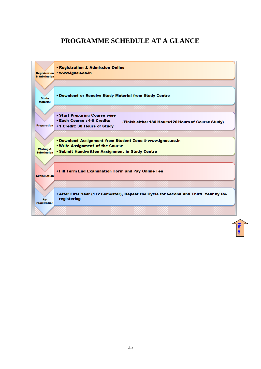## **PROGRAMME SCHEDULE AT A GLANCE**

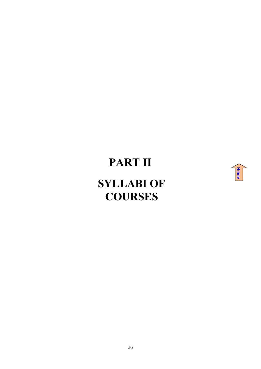# **PART II**



## <span id="page-35-0"></span>**SYLLABI OF COURSES**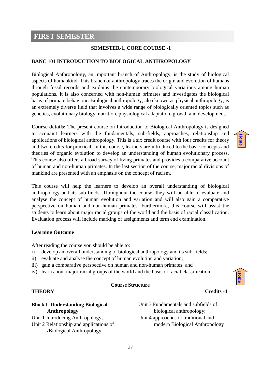### <span id="page-36-0"></span>**FIRST SEMESTER**

#### **SEMESTER-1, CORE COURSE -1**

#### **BANC 101 INTRODUCTION TO BIOLOGICAL ANTHROPOLOGY**

Biological Anthropology, an important branch of Anthropology, is the study of biological aspects of humankind. This branch of anthropology traces the origin and evolution of humans through fossil records and explains the contemporary biological variations among human populations. It is also concerned with non-human primates and investigates the biological basis of primate behaviour. Biological anthropology, also known as physical anthropology, is an extremely diverse field that involves a wide range of biologically oriented topics such as genetics, evolutionary biology, nutrition, physiological adaptation, growth and development.

**Course details:** The present course on Introduction to Biological Anthropology is designed to acquaint learners with the fundamentals, sub-fields, approaches, relationship and applications of biological anthropology. This is a six credit course with four credits for theory and two credits for practical. In this course, learners are introduced to the basic concepts and theories of organic evolution to develop an understanding of human evolutionary process. This course also offers a broad survey of living primates and provides a comparative account of human and non-human primates. In the last section of the course, major racial divisions of mankind are presented with an emphasis on the concept of racism.

This course will help the learners to develop an overall understanding of biological anthropology and its sub-fields. Throughout the course, they will be able to evaluate and analyse the concept of human evolution and variation and will also gain a comparative perspective on human and non-human primates. Furthermore, this course will assist the students to learn about major racial groups of the world and the basis of racial classification. Evaluation process will include marking of assignments and term end examination.

#### **Learning Outcome**

After reading the course you should be able to:

- i) develop an overall understanding of biological anthropology and its sub-fields;
- ii) evaluate and analyse the concept of human evolution and variation;
- iii) gain a comparative perspective on human and non-human primates; and
- iv) learn about major racial groups of the world and the basis of racial classification.

#### **Course Structure**

**[Home](#page-2-0)**

**[Home](#page-2-0)**

#### **THEORY Credits -4**

#### **Block I Understanding Biological Anthropology**

Unit 1 Introducing Anthropology; Unit 2 Relationship and applications of /Biological Anthropology;

Unit 3 Fundamentals and subfields of biological anthropology; Unit 4 approaches of traditional and modern Biological Anthropology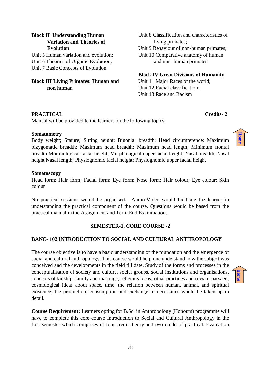#### **Block II Understanding Human Variation and Theories of Evolution**

Unit 5 Human variation and evolution; Unit 6 Theories of Organic Evolution; Unit 7 Basic Concepts of Evolution

#### **Block III Living Primates: Human and non human**

Unit 8 Classification and characteristics of living primates; Unit 9 Behaviour of non-human primates; Unit 10 Comparative anatomy of human and non- human primates

**Block IV Great Divisions of Humanity** 

Unit 11 Major Races of the world; Unit 12 Racial classification; Unit 13 Race and Racism

#### **PRACTICAL Credits- 2**

Manual will be provided to the learners on the following topics.

#### **Somatometry**

Body weight; Stature; Sitting height; Bigonial breadth; Head circumference; Maximum bizygomatic breadth; Maximum head breadth; Maximum head length; Minimum frontal breadth Morphological facial height; Morphological upper facial height; Nasal breadth; Nasal height Nasal length; Physiognomic facial height; Physiognomic upper facial height

#### **Somatoscopy**

Head form; Hair form; Facial form; Eye form; Nose form; Hair colour; Eye colour; Skin colour

No practical sessions would be organised. Audio-Video would facilitate the learner in understanding the practical component of the course. Questions would be based from the practical manual in the Assignment and Term End Examinations.

#### **SEMESTER-1, CORE COURSE -2**

#### **BANC- 102 INTRODUCTION TO SOCIAL AND CULTURAL ANTHROPOLOGY**

The course objective is to have a basic understanding of the foundation and the emergence of social and cultural anthropology. This course would help one understand how the subject was conceived and the developments in the field till date. Study of the forms and processes in the conceptualisation of society and culture, social groups, social institutions and organisations, concepts of kinship, family and marriage; religious ideas, ritual practices and rites of passage; cosmological ideas about space, time, the relation between human, animal, and spiritual existence; the production, consumption and exchange of necessities would be taken up in detail.

**Course Requirement:** Learners opting for B.Sc. in Anthropology (Honours) programme will have to complete this core course Introduction to Social and Cultural Anthropology in the first semester which comprises of four credit theory and two credit of practical. Evaluation

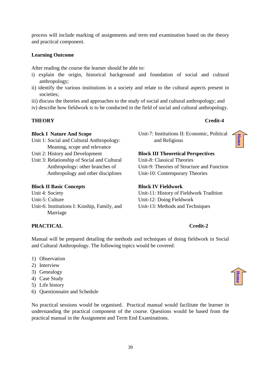process will include marking of assignments and term end examination based on the theory and practical component.

#### **Learning Outcome**

After reading the course the learner should be able to:

- i) explain the origin, historical background and foundation of social and cultural anthropology;
- ii) identify the various institutions in a society and relate to the cultural aspects present in societies:
- iii) discuss the theories and approaches to the study of social and cultural anthropology; and
- iv) describe how fieldwork is to be conducted in the field of social and cultural anthropology.

#### **THEORY Credit-4**

#### **Block I Nature And Scope**

- Unit 1: Social and Cultural Anthropology: Meaning, scope and relevance
- Unit 2: History and Development
- Unit 3: Relationship of Social and Cultural Anthropology: other branches of Anthropology and other disciplines

#### **Block II Basic Concepts**

- Unit 4: Society
- Unit-5: Culture
- Unit-6: Institutions I: Kinship, Family, and Marriage

Unit-7: Institutions II: Economic, Political and Religious



**[Home](#page-2-0)**

#### **Block III Theoretical Perspectives**  Unit-8: Classical Theories Unit-9: Theories of Structure and Function

Unit-10: Contemporary Theories

#### **Block IV Fieldwork**

Unit-11: History of Fieldwork Tradition Unit-12: Doing Fieldwork Unit-13: Methods and Techniques

#### **PRACTICAL Credit-2**

Manual will be prepared detailing the methods and techniques of doing fieldwork in Social and Cultural Anthropology. The following topics would be covered:

- 1) Observation
- 2) Interview
- 3) Genealogy
- 4) Case Study
- 5) Life history
- 6) Questionnaire and Schedule

No practical sessions would be organised. Practical manual would facilitate the learner in understanding the practical component of the course. Questions would be based from the practical manual in the Assignment and Term End Examinations.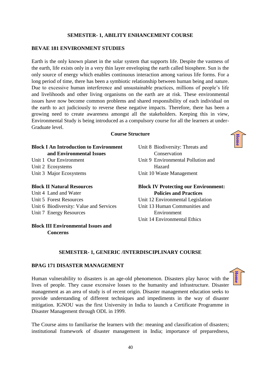#### **SEMESTER- 1, ABILITY ENHANCEMENT COURSE**

#### **BEVAE 181 ENVIRONMENT STUDIES**

Earth is the only known planet in the solar system that supports life. Despite the vastness of the earth, life exists only in a very thin layer enveloping the earth called biosphere. Sun is the only source of energy which enables continuous interaction among various life forms. For a long period of time, there has been a symbiotic relationship between human being and nature. Due to excessive human interference and unsustainable practices, millions of people's life and livelihoods and other living organisms on the earth are at risk. These environmental issues have now become common problems and shared responsibility of each individual on the earth to act judiciously to reverse these negative impacts. Therefore, there has been a growing need to create awareness amongst all the stakeholders. Keeping this in view, Environmental Study is being introduced as a compulsory course for all the learners at under-Graduate level.

#### **Course Structure**

| <b>Block I An Introduction to Environment</b> | Unit 8 Biodiversity: Threats and            |
|-----------------------------------------------|---------------------------------------------|
| and Environmental Issues                      | Conservation                                |
| Unit 1 Our Environment                        | Unit 9 Environmental Pollution and          |
| Unit 2 Ecosystems                             | Hazard                                      |
| Unit 3 Major Ecosystems                       | Unit 10 Waste Management                    |
| <b>Block II Natural Resources</b>             | <b>Block IV Protecting our Environment:</b> |
| Unit 4 Land and Water                         | <b>Policies and Practices</b>               |
| Unit 5 Forest Resources                       | Unit 12 Environmental Legislation           |
| Unit 6 Biodiversity: Value and Services       | Unit 13 Human Communities and               |

Unit 7 Energy Resources

**Block III Environmental Issues and Concerns**

Unit 13 Human Communities and Environment Unit 14 Environmental Ethics

#### **SEMESTER- 1, GENERIC /INTERDISCIPLINARY COURSE**

#### **BPAG 171 DISASTER MANAGEMENT**

Human vulnerability to disasters is an age-old phenomenon. Disasters play havoc with the lives of people. They cause excessive losses to the humanity and infrastructure. Disaster management as an area of study is of recent origin. Disaster management education seeks to provide understanding of different techniques and impediments in the way of disaster mitigation. IGNOU was the first University in India to launch a Certificate Programme in Disaster Management through ODL in 1999.

The Course aims to familiarise the learners with the: meaning and classification of disasters; institutional framework of disaster management in India; importance of preparedness,

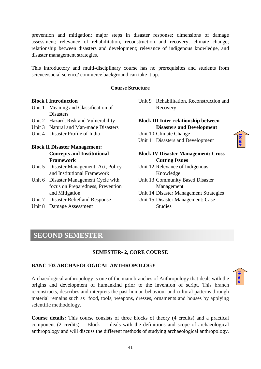prevention and mitigation; major steps in disaster response; dimensions of damage assessment; relevance of rehabilitation, reconstruction and recovery; climate change; relationship between disasters and development; relevance of indigenous knowledge, and disaster management strategies.

This introductory and multi-disciplinary course has no prerequisites and students from science/social science/ commerce background can take it up.

#### **Course Structure**

#### **Block I Introduction**

- Unit 1 Meaning and Classification of **Disasters**
- Unit 2 Hazard, Risk and Vulnerability
- Unit 3 Natural and Man-made Disasters
- Unit 4 Disaster Profile of India

#### **Block II Disaster Management: Concepts and Institutional Framework**

- Unit 5 Disaster Management: Act, Policy and Institutional Framework
- Unit 6 Disaster Management Cycle with focus on Preparedness, Prevention and Mitigation
- Unit 7 Disaster Relief and Response
- Unit 8 Damage Assessment

#### Unit 9 Rehabilitation, Reconstruction and Recovery

#### **Block III Inter-relationship between Disasters and Development**

- Unit 10 Climate Change
- Unit 11 Disasters and Development

#### **Block IV Disaster Management: Cross-Cutting Issues**

- Unit 12 Relevance of Indigenous Knowledge
- Unit 13 Community Based Disaster Management
- Unit 14 Disaster Management Strategies
- Unit 15 Disaster Management: Case Studies

## <span id="page-40-0"></span>**SECOND SEMESTER**

#### **SEMESTER- 2, CORE COURSE**

#### **BANC 103 ARCHAEOLOGICAL ANTHROPOLOGY**

Archaeological anthropology is one of the main branches of Anthropology that deals with the origins and development of humankind prior to the invention of script. This branch reconstructs, describes and interprets the past human behaviour and cultural patterns through material remains such as food, tools, weapons, dresses, ornaments and houses by applying scientific methodology.

**Course details:** This course consists of three blocks of theory (4 credits) and a practical component (2 credits). Block - I deals with the definitions and scope of archaeological anthropology and will discuss the different methods of studying archaeological anthropology.

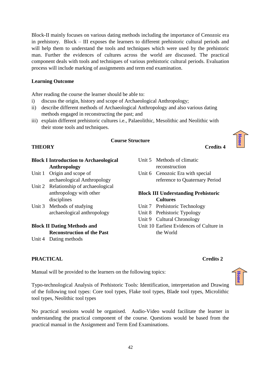Block-II mainly focuses on various dating methods including the importance of Cenozoic era in prehistory. Block – III exposes the learners to different prehistoric cultural periods and will help them to understand the tools and techniques which were used by the prehistoric man. Further the evidences of cultures across the world are discussed. The practical component deals with tools and techniques of various prehistoric cultural periods. Evaluation process will include marking of assignments and term end examination.

#### **Learning Outcome**

After reading the course the learner should be able to:

- i) discuss the origin, history and scope of Archaeological Anthropology;
- ii) describe different methods of Archaeological Anthropology and also various dating methods engaged in reconstructing the past; and
- iii) explain different prehistoric cultures i.e., Palaeolithic, Mesolithic and Neolithic with their stone tools and techniques.

#### **Course Structure**

#### **THEORY** Credits 4

**[Home](#page-2-0)**

| DIUCK 1 IIIU OUUCUUII tO ATCHAEOIOGICAI |                                       |
|-----------------------------------------|---------------------------------------|
|                                         | Anthropology                          |
|                                         | Unit 1 Origin and scope of            |
|                                         | archaeological Anthropology           |
|                                         | Unit 2 Relationship of archaeological |
|                                         | anthropology with other               |

**Block I Introduction to Archaeological**

Unit 3 Methods of studying archaeological anthropology

#### **Block II Dating Methods and Reconstruction of the Past**

Unit 4 Dating methods

disciplines

#### Unit 5 Methods of climatic reconstruction Unit 6 Cenozoic Era with special reference to Quaternary Period

#### **Block III Understanding Prehistoric Cultures**

- Unit 7 Prehistoric Technology
- Unit 8 Prehistoric Typology
- Unit 9 Cultural Chronology
- Unit 10 Earliest Evidences of Culture in the World

#### **PRACTICAL** Credits 2

Manual will be provided to the learners on the following topics:

Typo-technological Analysis of Prehistoric Tools: Identification, interpretation and Drawing of the following tool types: Core tool types, Flake tool types, Blade tool types, Microlithic tool types, Neolithic tool types

No practical sessions would be organised. Audio-Video would facilitate the learner in understanding the practical component of the course. Questions would be based from the practical manual in the Assignment and Term End Examinations.

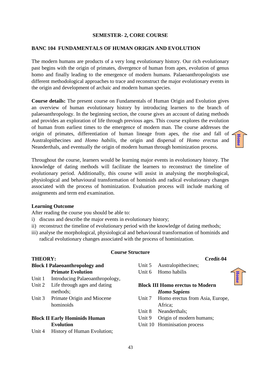#### **SEMESTER- 2, CORE COURSE**

#### **BANC 104 FUNDAMENTALS OF HUMAN ORIGIN AND EVOLUTION**

The modern humans are products of a very long evolutionary history. Our rich evolutionary past begins with the origin of primates, divergence of human from apes, evolution of genus homo and finally leading to the emergence of modern humans. Palaeoanthropologists use different methodological approaches to trace and reconstruct the major evolutionary events in the origin and development of archaic and modern human species.

**Course details:** The present course on Fundamentals of Human Origin and Evolution gives an overview of human evolutionary history by introducing learners to the branch of palaeoanthropology. In the beginning section, the course gives an account of dating methods and provides an exploration of life through previous ages. This course explores the evolution of human from earliest times to the emergence of modern man. The course addresses the origin of primates, differentiation of human lineage from apes, the rise and fall of Australopithecines and *Homo habilis*, the origin and dispersal of *Homo erectus* and Neanderthals, and eventually the origin of modern human through hominization process.

Throughout the course, learners would be learning major events in evolutionary history. The knowledge of dating methods will facilitate the learners to reconstruct the timeline of evolutionary period. Additionally, this course will assist in analysing the morphological, physiological and behavioural transformation of hominids and radical evolutionary changes associated with the process of hominization. Evaluation process will include marking of assignments and term end examination.

#### **Learning Outcome**

After reading the course you should be able to:

- i) discuss and describe the major events in evolutionary history;
- ii) reconstruct the timeline of evolutionary period with the knowledge of dating methods;
- iii) analyse the morphological, physiological and behavioural transformation of hominids and radical evolutionary changes associated with the process of hominization.

#### **Course Structure**

#### **THEORY: Credit-04**

**Block I Palaeoanthropology and Primate Evolution**

- Unit 1 Introducing Palaeoanthropology,
- Unit 2 Life through ages and dating methods;
- Unit 3 Primate Origin and Miocene hominoids

#### **Block II Early Hominids Human Evolution**

Unit 4 History of Human Evolution;

- Unit 5 Australopithecines;
- Unit 6 Homo habilis

#### **Block III Homo erectus to Modern**  *Homo Sapiens*

- Unit 7 Homo erectus from Asia, Europe, Africa;
- Unit 8 Neanderthals:
- Unit 9 Origin of modern humans;
- Unit 10 Hominisation process

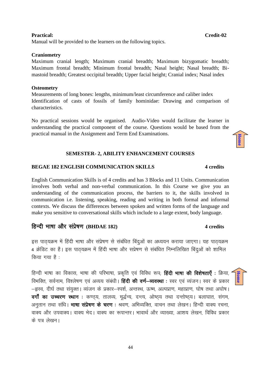#### **Practical: Credit-02**

Manual will be provided to the learners on the following topics.

#### **Craniometry**

Maximum cranial length; Maximum cranial breadth; Maximum bizygomatic breadth; Maximum frontal breadth; Minimum frontal breadth; Nasal height; Nasal breadth; Bimastoid breadth; Greatest occipital breadth; Upper facial height; Cranial index; Nasal index

#### **Osteometry**

Measurements of long bones: lengths, minimum/least circumference and caliber index Identification of casts of fossils of family hominidae: Drawing and comparison of characteristics.

No practical sessions would be organised. Audio-Video would facilitate the learner in understanding the practical component of the course. Questions would be based from the practical manual in the Assignment and Term End Examinations.

#### **SEMESTER- 2, ABILITY ENHANCEMENT COURSES**

#### **BEGAE 182 ENGLISH COMMUNICATION SKILLS** 4 credits

English Communication Skills is of 4 credits and has 3 Blocks and 11 Units. Communication involves both verbal and non-verbal communication. In this Course we give you an understanding of the communication process, the barriers to it, the skills involved in communication i.e. listening, speaking, reading and writing in both formal and informal contexts. We discuss the differences between spoken and written forms of the language and make you sensitive to conversational skills which include to a large extent, body language.

#### fgUnh Hkk'kk vk Sj l aizs'k.k **(BHDAE 182) 4 credits**

इस पाठ्यक्रम में हिंदी भाषा और संप्रेषण से संबंधित बिंदुओं का अध्ययन कराया जाएगा। यह पाठ्यक्रम 4 क्रेडिट का है। इस पाठयक्रम में हिंदी भाषा और सप्रेषण से संबंधित निम्नलिखित बिंदुओं को शामिल  $\theta$ किया गया है:

हिन्दी भाषा का विकास, भाषा की परिभाषा, प्रकृति एवं विविध रूप; **हिंदी भाषा की विशेषताएँ** : क्रिया, विभक्ति, सर्वनाम, विश्लेषण एवं अव्यय संबंधी। **हिंदी की वर्ण–व्यवस्था**: स्वर एवं व्यंजन। स्वर के प्रकार –हृस्व, दीर्घ तथा संयुक्त। व्यंजन के प्रकार–स्पर्श, अन्तस्थ, ऊष्म, अल्पप्राण, महाप्राण, घोष तथा अघोष। वर्गों का उच्चरण स्थान : कण्ठ्य, तालव्य, मूर्द्धन्य, दन्त्य, ओष्ठ्य तथा दन्तोष्ठ्य। बलाघात, संगम, अनुतान तथा संधि। **भाषा संप्रेषण के चरण**: श्रवण, अभिव्यक्ति, वाचन तथा लेखन। हिन्दी वाक्य रचना, वाक्य और उपवाक्य। वाक्य भेद। वाक्य का रूपान्तर। भावार्थ और व्याख्या, आशय लेखन, विविध प्रकार के पत्र लेखन।



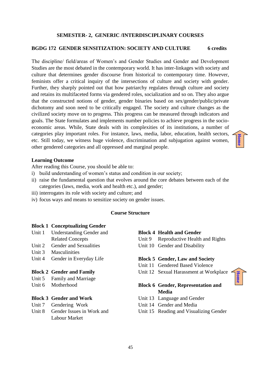#### **SEMESTER- 2, GENERIC /INTERDISCIPLINARY COURSES**

#### **BGDG 172 GENDER SENSITIZATION: SOCIETY AND CULTURE 6 credits**

The discipline/ field/areas of Women's and Gender Studies and Gender and Development Studies are the most debated in the contemporary world. It has inter-linkages with society and culture that determines gender discourse from historical to contemporary time. However, feminists offer a critical inquiry of the intersections of culture and society with gender. Further, they sharply pointed out that how patriarchy regulates through culture and society and retains its multifaceted forms via gendered roles, socialization and so on. They also argue that the constructed notions of gender, gender binaries based on sex/gender/public/private dichotomy and soon need to be critically engaged. The society and culture changes as the civilized society move on to progress. This progress can be measured through indicators and goals. The State formulates and implements number policies to achieve progress in the socioeconomic areas. While, State deals with its complexities of its institutions, a number of categories play important roles. For instance, laws, media, labor, education, health sectors, etc. Still today, we witness huge violence, discrimination and subjugation against women, other gendered categories and all oppressed and marginal people.

#### **Learning Outcome**

After reading this Course, you should be able to:

- i) build understanding of women's status and condition in our society;
- ii) raise the fundamental question that evolves around the core debates between each of the categories (laws, media, work and health etc.), and gender;
- iii) interrogates its role with society and culture; and
- iv) focus ways and means to sensitize society on gender issues.

#### **Course Structure**

#### **Block 1 Conceptualizing Gender**

- Unit 1 Understanding Gender and Related Concepts
- Unit 2 Gender and Sexualities
- Unit 3 Masculinities
- Unit 4 Gender in Everyday Life

#### **Block 2 Gender and Family**

- Unit 5 Family and Marriage
- Unit 6 Motherhood

#### **Block 3 Gender and Work**

- Unit 7 Gendering Work
- Unit 8 Gender Issues in Work and Labour Market

#### **Block 4 Health and Gender**

Unit 9 Reproductive Health and Rights Unit 10 Gender and Disability

**[Home](#page-2-0)**

**[Home](#page-2-0)**

#### **Block 5 Gender, Law and Society**

- Unit 11 Gendered Based Violence
- Unit 12 Sexual Harassment at Workplace

#### **Block 6 Gender, Representation and Media**

- Unit 13 Language and Gender
- Unit 14 Gender and Media
- Unit 15 Reading and Visualizing Gender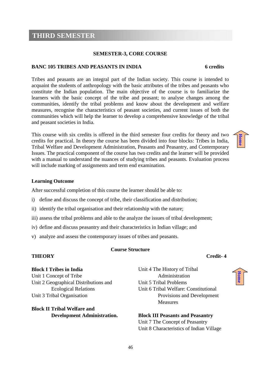### <span id="page-45-0"></span>**THIRD SEMESTER**

#### **SEMESTER-3, CORE COURSE**

#### **BANC 105 TRIBES AND PEASANTS IN INDIA 6 credits**

Tribes and peasants are an integral part of the Indian society. This course is intended to acquaint the students of anthropology with the basic attributes of the tribes and peasants who constitute the Indian population. The main objective of the course is to familiarize the learners with the basic concept of the tribe and peasant; to analyse changes among the communities, identify the tribal problems and know about the development and welfare measures, recognise the characteristics of peasant societies, and current issues of both the communities which will help the learner to develop a comprehensive knowledge of the tribal and peasant societies in India.

This course with six credits is offered in the third semester four credits for theory and two credits for practical. In theory the course has been divided into four blocks: Tribes in India, Tribal Welfare and Development Administration, Peasants and Peasantry, and Contemporary Issues. The practical component of the course has two credits and the learner will be provided with a manual to understand the nuances of studying tribes and peasants. Evaluation process will include marking of assignments and term end examination.

#### **Learning Outcome**

After successful completion of this course the learner should be able to:

- i) define and discuss the concept of tribe, their classification and distribution;
- ii) identify the tribal organisation and their relationship with the nature;
- iii) assess the tribal problems and able to the analyze the issues of tribal development;
- iv) define and discuss peasantry and their characteristics in Indian village; and
- v) analyze and assess the contemporary issues of tribes and peasants.

#### **Course Structure**

## **THEORY** Credit-4

#### **Block I Tribes in India**

Unit 1 Concept of Tribe Unit 2 Geographical Distributions and Ecological Relations Unit 3 Tribal Organisation

#### **Block II Tribal Welfare and Development Administration.**

Unit 4 The History of Tribal Administration Unit 5 Tribal Problems Unit 6 Tribal Welfare: Constitutional Provisions and Development Measures

**Block III Peasants and Peasantry** Unit 7 The Concept of Peasantry Unit 8 Characteristics of Indian Village

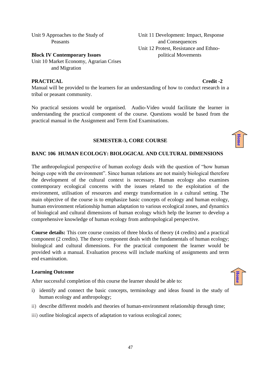Unit 9 Approaches to the Study of Peasants

**Block IV Contemporary Issues**  Unit 10 Market Economy, Agrarian Crises and Migration

#### **PRACTICAL** Credit -2

Manual will be provided to the learners for an understanding of how to conduct research in a tribal or peasant community.

No practical sessions would be organised. Audio-Video would facilitate the learner in understanding the practical component of the course. Questions would be based from the practical manual in the Assignment and Term End Examinations.

#### **SEMESTER-3, CORE COURSE**

#### **BANC 106 HUMAN ECOLOGY: BIOLOGICAL AND CULTURAL DIMENSIONS**

The anthropological perspective of human ecology deals with the question of "how human beings cope with the environment". Since human relations are not mainly biological therefore the development of the cultural context is necessary. Human ecology also examines contemporary ecological concerns with the issues related to the exploitation of the environment, utilisation of resources and energy transformation in a cultural setting. The main objective of the course is to emphasize basic concepts of ecology and human ecology, human environment relationship human adaptation to various ecological zones, and dynamics of biological and cultural dimensions of human ecology which help the learner to develop a comprehensive knowledge of human ecology from anthropological perspective.

**Course details:** This core course consists of three blocks of theory (4 credits) and a practical component (2 credits). The theory component deals with the fundamentals of human ecology; biological and cultural dimensions. For the practical component the learner would be provided with a manual. Evaluation process will include marking of assignments and term end examination.

#### **Learning Outcome**

After successful completion of this course the learner should be able to:

- i) identify and connect the basic concepts, terminology and ideas found in the study of human ecology and anthropology;
- ii) describe different models and theories of human-environment relationship through time;
- iii) outline biological aspects of adaptation to various ecological zones;

#### Unit 11 Development: Impact, Response and Consequences Unit 12 Protest, Resistance and Ethnopolitical Movements



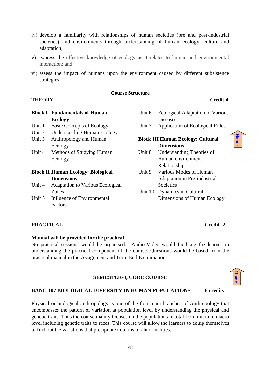- iv) develop a familiarity with relationships of human societies (pre and post-industrial societies) and environments through understanding of human ecology, culture and adaptation;
- v) express the effective knowledge of ecology as it relates to human and environmental interaction; and
- vi) assess the impact of humans upon the environment caused by different subsistence strategies.

#### **Course Structure**

#### **THEORY Credit-4**

|        | <b>Block I Fundamentals of Human</b>      |
|--------|-------------------------------------------|
|        | <b>Ecology</b>                            |
| Unit 1 | <b>Basic Concepts of Ecology</b>          |
| Unit 2 | <b>Understanding Human Ecology</b>        |
| Unit 3 | Anthropology and Human                    |
|        | Ecology                                   |
| Unit 4 | Methods of Studying Human                 |
|        | Ecology                                   |
|        | <b>Block II Human Ecology: Biological</b> |
|        | <b>Dimensions</b>                         |
| Unit 4 | <b>Adaptation to Various Ecological</b>   |
|        | Zones                                     |
| Unit 5 | Influence of Environmental                |
|        | Factors                                   |

#### Unit 6 Ecological Adaptation to Various **Diseases**

Unit 7 Application of Ecological Rules

#### **Block III Human Ecology: Cultural Dimensions**

- Unit 8 Understanding Theories of Human-environment Relationship
- Unit 9 Various Modes of Human Adaptation in Pre-industrial **Societies**
- Unit 10 Dynamics in Cultural Dimensions of Human Ecology

#### **PRACTICAL Credit- 2**

#### **Manual will be provided for the practical**

No practical sessions would be organised. Audio-Video would facilitate the learner in understanding the practical component of the course. Questions would be based from the practical manual in the Assignment and Term End Examinations.

#### **SEMESTER-3, CORE COURSE**

# **[Home](#page-2-0)**

#### **BANC-107 BIOLOGICAL DIVERSITY IN HUMAN POPULATIONS 6 credits**

Physical or biological anthropology is one of the four main branches of Anthropology that encompasses the pattern of variation at population level by understanding the physical and genetic traits. Thus the course mainly focuses on the populations in total from micro to macro level including genetic traits to races. This course will allow the learners to equip themselves to find out the variations that precipitate in terms of abnormalities.

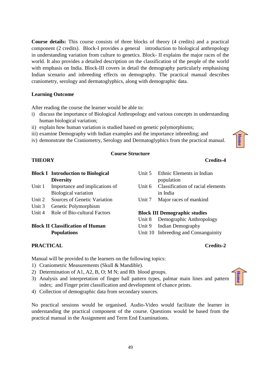**Course details:** This course consists of three blocks of theory (4 credits) and a practical component (2 credits). Block-I provides a general introduction to biological anthropology in understanding variation from culture to genetics. Block- II explains the major races of the world. It also provides a detailed description on the classification of the people of the world with emphasis on India. Block-III covers in detail the demography particularly emphasising Indian scenario and inbreeding effects on demography. The practical manual describes craniometry, serology and dermatoglyphics, along with demographic data.

#### **Learning Outcome**

After reading the course the learner would be able to:

- i) discuss the importance of Biological Anthropology and various concepts in understanding human biological variation;
- ii) explain how human variation is studied based on genetic polymorphisms;
- iii) examine Demography with Indian examples and the importance inbreeding; and
- iv) demonstrate the Craniometry, Serology and Dermatoglyphics from the practical manual.

#### **Course Structure**

|        | <b>Block I</b> Introduction to Biological | Unit 5 | Ethnic Elements in Indian            |
|--------|-------------------------------------------|--------|--------------------------------------|
|        | <b>Diversity</b>                          |        | population                           |
| Unit 1 | Importance and implications of            | Unit 6 | Classification of racial elements    |
|        | <b>Biological variation</b>               |        | in India                             |
| Unit 2 | Sources of Genetic Variation              | Unit 7 | Major races of mankind               |
| Unit 3 | Genetic Polymorphism                      |        |                                      |
| Unit 4 | Role of Bio-cultural Factors              |        | <b>Block III Demographic studies</b> |
|        |                                           | Unit 8 | Demographic Anthropology             |
|        | <b>Block II Classification of Human</b>   | Unit 9 | Indian Demography                    |
|        | <b>Populations</b>                        |        | Unit 10 Inbreeding and Consanguinity |

Unit 10 Inbreeding and Consanguinity

**[Home](#page-2-0)**

#### **PRACTICAL Credits-2**

Manual will be provided to the learners on the following topics:

- 1) Craniometric Measurements (Skull & Mandible).
- 2) Determination of A1, A2, B, O; M N; and Rh blood groups.
- 3) Analysis and interpretation of finger ball pattern types, palmar main lines and pattern index; and Finger print classification and development of chance prints.
- 4) Collection of demographic data from secondary sources.

No practical sessions would be organised. Audio-Video would facilitate the learner in understanding the practical component of the course. Questions would be based from the practical manual in the Assignment and Term End Examinations.



#### **THEORY** Credits-4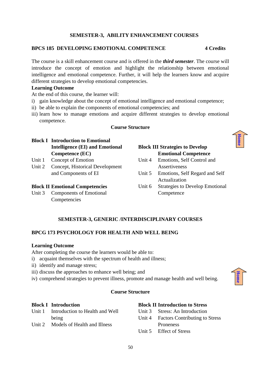#### 50

#### **SEMESTER-3, ABILITY ENHANCEMENT COURSES**

#### **BPCS 185 DEVELOPING EMOTIONAL COMPETENCE 4 Credits**

The course is a skill enhancement course and is offered in the *third semester*. The course will introduce the concept of emotion and highlight the relationship between emotional intelligence and emotional competence. Further, it will help the learners know and acquire different strategies to develop emotional competencies.

#### **Learning Outcome**

At the end of this course, the learner will:

- i) gain knowledge about the concept of emotional intelligence and emotional competence;
- ii) be able to explain the components of emotional competencies; and
- iii) learn how to manage emotions and acquire different strategies to develop emotional competence.

#### **Course Structure**

#### **Block I Introduction to Emotional Intelligence (EI) and Emotional Competence (EC)**

- Unit 1 Concept of Emotion
- Unit 2 Concept, Historical Development and Components of EI

#### **Block II Emotional Competencies**

Unit 3 Components of Emotional Competencies

### **Block III Strategies to Develop Emotional Competence** Unit 4 Emotions, Self Control and Assertiveness Unit 5 Emotions, Self Regard and Self Actualization

Unit 6 Strategies to Develop Emotional Competence

#### **SEMESTER-3, GENERIC /INTERDISCIPLINARY COURSES**

#### **BPCG 173 PSYCHOLOGY FOR HEALTH AND WELL BEING**

#### **Learning Outcome**

After completing the course the learners would be able to:

- i) acquaint themselves with the spectrum of health and illness;
- ii) identify and manage stress;
- iii) discuss the approaches to enhance well being; and
- iv) comprehend strategies to prevent illness, promote and manage health and well being.

#### **Course Structure**

#### **Block I Introduction**

- Unit 1 Introduction to Health and Well being
- Unit 2 Models of Health and Illness

#### **Block II Introduction to Stress**

- Unit 3 Stress: An Introduction
- Unit 4 Factors Contributing to Stress Proneness
- Unit 5 Effect of Stress





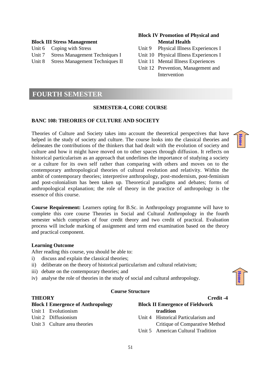#### **Block III Stress Management**

| Unit 6 Coping with Stress              |
|----------------------------------------|
| Unit 7 Stress Management Techniques I  |
| Unit 8 Stress Management Techniques II |

#### **Block IV Promotion of Physical and Mental Health**

- Unit 9 Physical Illness Experiences I
- Unit 10 Physical Illness Experiences I
- Unit 11 Mental Illness Experiences
- Unit 12 Prevention, Management and Intervention

#### <span id="page-50-0"></span>**FOURTH SEMESTER**

#### **SEMESTER-4, CORE COURSE**

#### **BANC 108: THEORIES OF CULTURE AND SOCIETY**

Theories of Culture and Society takes into account the theoretical perspectives that have helped in the study of society and culture. The course looks into the classical theories and delineates the contributions of the thinkers that had dealt with the evolution of society and culture and how it might have moved on to other spaces through diffusion. It reflects on historical particularism as an approach that underlines the importance of studying a society or a culture for its own self rather than comparing with others and moves on to the contemporary anthropological theories of cultural evolution and relativity. Within the ambit of contemporary theories; interpretive anthropology, post-modernism, post-feminism and post-colonialism has been taken up. Theoretical paradigms and debates; forms of anthropological explanation; the role of theory in the practice of anthropology is the essence of this course.

**Course Requirement:** Learners opting for B.Sc. in Anthropology programme will have to complete this core course Theories in Social and Cultural Anthropology in the fourth semester which comprises of four credit theory and two credit of practical. Evaluation process will include marking of assignment and term end examination based on the theory and practical component.

#### **Learning Outcome**

After reading this course, you should be able to:

- i) discuss and explain the classical theories;
- ii) deliberate on the theory of historical particularism and cultural relativism;
- iii) debate on the contemporary theories; and
- iv) analyse the role of theories in the study of social and cultural anthropology.

#### **Course Structure**

#### **THEORY** Credit -4

| ed 11 |  |
|-------|--|

| <b>Block I Emergence of Anthropology</b> |                              | <b>Block II Emergence of Fieldwork</b> |                                     |
|------------------------------------------|------------------------------|----------------------------------------|-------------------------------------|
|                                          | Unit 1 Evolutionism          |                                        | tradition                           |
|                                          | Unit 2 Diffusionism          |                                        | Unit 4 Historical Particularism and |
|                                          | Unit 3 Culture area theories |                                        | Critique of Comparative Method      |
|                                          |                              |                                        | Unit 5 American Cultural Tradition  |

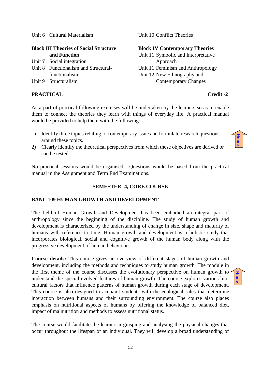Unit 6 Cultural Materialism

#### **Block III Theories of Social Structure and Function**

- Unit **7** Social integration
- Unit 8 Functionalism and Structuralfunctionalism
- Unit 9 Structuralism

#### **PRACTICAL** Credit -2

Unit 10 Conflict Theories

#### **Block IV Contemporary Theories**

Unit 11 Symbolic and Interpretative Approach Unit 11 Feminism and Anthropology Unit 12 New Ethnography and Contemporary Changes

#### As a part of practical following exercises will be undertaken by the learners so as to enable them to connect the theories they learn with things of everyday life. A practical manual would be provided to help them with the following:

- 1) Identify three topics relating to contemporary issue and formulate research questions around these topics.
- 2) Clearly identify the theoretical perspectives from which these objectives are derived or can be tested.

No practical sessions would be organised. Questions would be based from the practical manual in the Assignment and Term End Examinations.

#### **SEMESTER- 4, CORE COURSE**

#### **BANC 109 HUMAN GROWTH AND DEVELOPMENT**

The field of Human Growth and Development has been embodied an integral part of anthropology since the beginning of the discipline. The study of human growth and development is characterized by the understanding of change in size, shape and maturity of humans with reference to time. Human growth and development is a holistic study that incorporates biological, social and cognitive growth of the human body along with the progressive development of human behaviour.

**Course details:** This course gives an overview of different stages of human growth and development, including the methods and techniques to study human growth. The module in the first theme of the course discusses the evolutionary perspective on human growth to  $\sim$ understand the special evolved features of human growth. The course explores various biocultural factors that influence patterns of human growth during each stage of development. This course is also designed to acquaint students with the ecological rules that determine interaction between humans and their surrounding environment. The course also places emphasis on nutritional aspects of humans by offering the knowledge of balanced diet, impact of malnutrition and methods to assess nutritional status.

The course would facilitate the learner in grasping and analysing the physical changes that occur throughout the lifespan of an individual. They will develop a broad understanding of

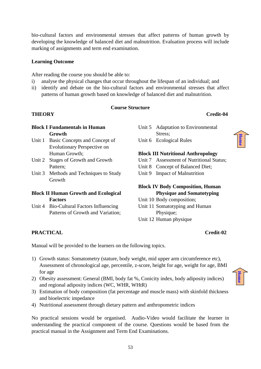bio-cultural factors and environmental stresses that affect patterns of human growth by developing the knowledge of balanced diet and malnutrition. Evaluation process will include marking of assignments and term end examination.

#### **Learning Outcome**

After reading the course you should be able to:

- i) analyse the physical changes that occur throughout the lifespan of an individual; and
- ii) identify and debate on the bio-cultural factors and environmental stresses that affect patterns of human growth based on knowledge of balanced diet and malnutrition.

#### **Course Structure**

#### **THEORY Credit-04**

#### **Block I Fundamentals in Human Growth**

- Unit 1 Basic Concepts and Concept of Evolutionary Perspective on Human Growth;
- Unit 2 Stages of Growth and Growth Pattern;
- Unit 3 Methods and Techniques to Study Growth

#### **Block II Human Growth and Ecological Factors**

Unit 4 Bio-Cultural Factors Influencing Patterns of Growth and Variation;

- Unit 5 Adaptation to Environmental Stress;
- Unit 6 Ecological Rules

#### **Block III Nutritional Anthropology**

- Unit 7 Assessment of Nutritional Status;
- Unit 8 Concept of Balanced Diet;
- Unit 9 Impact of Malnutrition

#### **Block IV Body Composition, Human Physique and Somatotyping**

- Unit 10 Body composition;
- Unit 11 Somatotyping and Human Physique; Unit 12 Human physique

#### **PRACTICAL Credit-02**

Manual will be provided to the learners on the following topics.

- 1) Growth status: Somatometry (stature, body weight, mid upper arm circumference etc), Assessment of chronological age, percentile, z-score, height for age, weight for age, BMI for age
- 2) Obesity assessment: General (BMI, body fat %, Conicity index, body adiposity indices) and regional adiposity indices (WC, WHR, WHtR)
- 3) Estimation of body composition (fat percentage and muscle mass) with skinfold thickness and bioelectric impedance
- 4) Nutritional assessment through dietary pattern and anthropometric indices

No practical sessions would be organised. Audio-Video would facilitate the learner in understanding the practical component of the course. Questions would be based from the practical manual in the Assignment and Term End Examinations.

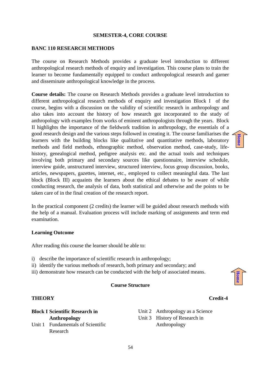#### **SEMESTER-4, CORE COURSE**

#### **BANC 110 RESEARCH METHODS**

The course on Research Methods provides a graduate level introduction to different anthropological research methods of enquiry and investigation. This course plans to train the learner to become fundamentally equipped to conduct anthropological research and garner and disseminate anthropological knowledge in the process.

**Course details:** The course on Research Methods provides a graduate level introduction to different anthropological research methods of enquiry and investigation Block I of the course, begins with a discussion on the validity of scientific research in anthropology and also takes into account the history of how research got incorporated to the study of anthropology with examples from works of eminent anthropologists through the years. Block II highlights the importance of the fieldwork tradition in anthropology, the essentials of a good research design and the various steps followed in creating it. The course familiarises the learners with the building blocks like qualitative and quantitative methods, laboratory methods and field methods, ethnographic method, observation method, case-study, lifehistory, genealogical method, pedigree analysis etc. and the actual tools and techniques involving both primary and secondary sources like questionnaire, interview schedule, interview guide, unstructured interview, structured interview, focus group discussion, books, articles, newspapers, gazettes, internet, etc., employed to collect meaningful data. The last block (Block III) acquaints the learners about the ethical debates to be aware of while conducting research, the analysis of data, both statistical and otherwise and the points to be taken care of in the final creation of the research report.

In the practical component (2 credits) the learner will be guided about research methods with the help of a manual. Evaluation process will include marking of assignments and term end examination.

#### **Learning Outcome**

After reading this course the learner should be able to:

- i) describe the importance of scientific research in anthropology;
- ii) identify the various methods of research, both primary and secondary; and
- iii) demonstrate how research can be conducted with the help of associated means.

#### **Course Structure**

#### **THEORY Credit-4**

#### **Block I Scientific Research in Anthropology**  Unit 1 Fundamentals of Scientific Research

Unit 2 Anthropology as a Science Unit 3 History of Research in Anthropology

**[Home](#page-2-0)**



#### 54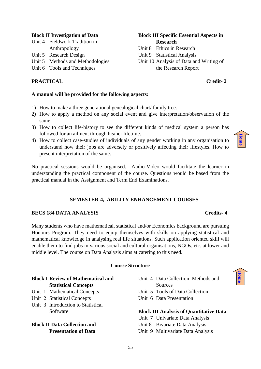#### **Block II Investigation of Data**

| Unit 4 Fieldwork Tradition in |
|-------------------------------|
| Anthropology                  |

- Unit 5 Research Design
- Unit 5 Methods and Methodologies
- Unit 6 Tools and Techniques

#### **PRACTICAL Credit- 2**

#### **Block III Specific Essential Aspects in Research**

- Unit 8 Ethics in Research
- Unit 9 Statistical Analysis
- Unit 10 Analysis of Data and Writing of the Research Report

#### **A manual will be provided for the following aspects:**

- 1) How to make a three generational genealogical chart/ family tree.
- 2) How to apply a method on any social event and give interpretation/observation of the same.
- 3) How to collect life-history to see the different kinds of medical system a person has followed for an ailment through his/her lifetime.
- 4) How to collect case-studies of individuals of any gender working in any organisation to understand how their jobs are adversely or positively affecting their lifestyles. How to present interpretation of the same.

No practical sessions would be organised. Audio-Video would facilitate the learner in understanding the practical component of the course. Questions would be based from the practical manual in the Assignment and Term End Examinations.

#### **SEMESTER-4, ABILITY ENHANCEMENT COURSES**

#### **BECS 184 DATA ANALYSIS Credits- 4**

Many students who have mathematical, statistical and/or Economics background are pursuing Honours Program. They need to equip themselves with skills on applying statistical and mathematical knowledge in analysing real life situations. Such application oriented skill will enable them to find jobs in various social and cultural organisations, NGOs, etc. at lower and middle level. The course on Data Analysis aims at catering to this need.

#### **Course Structure**

#### **Block I Review of Mathematical and Statistical Concepts**

- Unit 1 Mathematical Concepts
- Unit 2 Statistical Concepts
- Unit 3 Introduction to Statistical Software

**Block II Data Collection and Presentation of Data**

- Unit 4 Data Collection: Methods and Sources Unit 5 Tools of Data Collection
- Unit 6 Data Presentation

#### **Block III Analysis of Quantitative Data**

Unit 7 Univariate Data Analysis Unit 8 Bivariate Data Analysis Unit 9 Multivariate Data Analysis



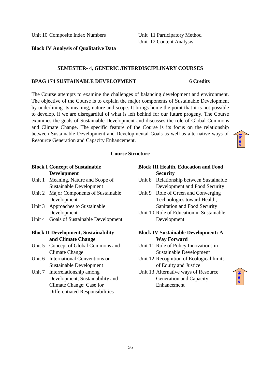Unit 10 Composite Index Numbers

Unit 11 Participatory Method Unit 12 Content Analysis

#### **Block IV Analysis of Qualitative Data**

#### **SEMESTER- 4, GENERIC /INTERDISCIPLINARY COURSES**

#### **BPAG 174 SUSTAINABLE DEVELOPMENT 6 Credits**

The Course attempts to examine the challenges of balancing development and environment. The objective of the Course is to explain the major components of Sustainable Development by underlining its meaning, nature and scope. It brings home the point that it is not possible to develop, if we are disregardful of what is left behind for our future progeny. The Course examines the goals of Sustainable Development and discusses the role of Global Commons and Climate Change. The specific feature of the Course is its focus on the relationship between Sustainable Development and Developmental Goals as well as alternative ways of Resource Generation and Capacity Enhancement.

#### **Course Structure**

#### **Block I Concept of Sustainable Development**

- Unit 1 Meaning, Nature and Scope of Sustainable Development
- Unit 2 Major Components of Sustainable Development
- Unit 3 Approaches to Sustainable Development
- Unit 4 Goals of Sustainable Development

#### **Block II Development, Sustainability and Climate Change**

- Unit 5 Concept of Global Commons and Climate Change
- Unit 6 International Conventions on Sustainable Development
- Unit 7 Interrelationship among Development, Sustainability and Climate Change: Case for Differentiated Responsibilities

#### **Block III Health, Education and Food Security**

- Unit 8 Relationship between Sustainable Development and Food Security
- Unit 9 Role of Green and Converging Technologies toward Health, Sanitation and Food Security
- Unit 10 Role of Education in Sustainable Development

#### **Block IV Sustainable Development: A Way Forward**

- Unit 11 Role of Policy Innovations in Sustainable Development
- Unit 12 Recognition of Ecological limits of Equity and Justice
- Unit 13 Alternative ways of Resource Generation and Capacity Enhancement



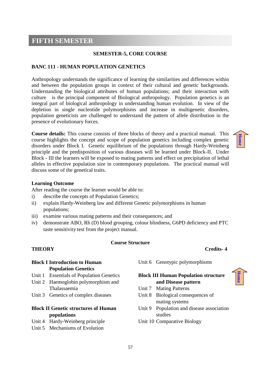#### <span id="page-56-0"></span>**FIFTH SEMESTER**

#### **SEMESTER-5, CORE COURSE**

#### **BANC 111 - HUMAN POPULATION GENETICS**

Anthropology understands the significance of learning the similarities and differences within and between the population groups in context of their cultural and genetic backgrounds. Understanding the biological attributes of human populations; and their interaction with culture is the principal component of Biological anthropology. Population genetics is an integral part of biological anthropology in understanding human evolution. In view of the depletion in single nucleotide polymorphisms and increase in multigenetic disorders, population geneticists are challenged to understand the pattern of allele distribution in the presence of evolutionary forces.

**Course details:** This course consists of three blocks of theory and a practical manual. This course highlights the concept and scope of population genetics including complex genetic disorders under Block I. Genetic equilibrium of the populations through Hardy-Weinberg principle and the predisposition of various diseases will be learned under Block-II. Under Block - III the learners will be exposed to mating patterns and effect on precipitation of lethal alleles in effective population size in contemporary populations. The practical manual will discuss some of the genetical traits.

#### **Learning Outcome**

After reading the course the learner would be able to:

- i) describe the concepts of Population Genetics;
- ii) explain Hardy-Weinberg law and different Genetic polymorphisms in human populations;
- iii) examine various mating patterns and their consequences; and
- iv) demonstrate ABO, Rh (D) blood grouping, colour blindness, G6PD deficiency and PTC taste sensitivity test from the project manual.

#### **Course Structure**

#### **THEORY Credits- 4**

#### **Block I Introduction to Human Population Genetics**

- Unit 1 Essentials of Population Genetics
- Unit 2 Haemoglobin polymorphism and Thalassaemia
- Unit 3 Genetics of complex diseases

#### **Block II Genetic structures of Human populations**

- Unit 4 Hardy-Weinberg principle
- Unit 5 Mechanisms of Evolution

Unit 6 Genotypic polymorphisms

#### **Block III Human Population structure and Disease pattern**

- Unit 7 Mating Patterns
- Unit 8 Biological consequences of mating systems
- Unit 9 Population and disease association studies
- Unit 10 Comparative Biology



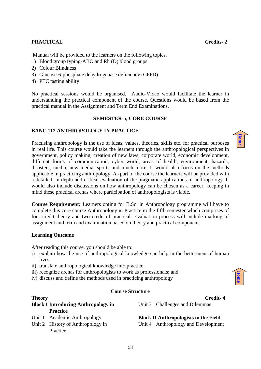#### **PRACTICAL Credits- 2**

Manual will be provided to the learners on the following topics.

- 1) Blood group typing-ABO and Rh (D) blood groups
- 2) Colour Blindness
- 3) Glucose-6-phosphate dehydrogenase deficiency (G6PD)
- 4) PTC tasting ability

No practical sessions would be organised. Audio-Video would facilitate the learner in understanding the practical component of the course. Questions would be based from the practical manual in the Assignment and Term End Examinations.

#### **SEMESTER-5, CORE COURSE**

#### **BANC 112 ANTHROPOLOGY IN PRACTICE**

Practising anthropology is the use of ideas, values, theories, skills etc. for practical purposes in real life. This course would take the learners through the anthropological perspectives in government, policy making, creation of new laws, corporate world, economic development, different forms of communication, cyber world, areas of health, environment, hazards, disasters, media, new media, sports and much more. It would also focus on the methods applicable in practicing anthropology. As part of the course the learners will be provided with a detailed, in depth and critical evaluation of the pragmatic applications of anthropology. It would also include discussions on how anthropology can be chosen as a career, keeping in mind these practical arenas where participation of anthropologists is viable.

**Course Requirement:** Learners opting for B.Sc. in Anthropology programme will have to complete this core course Anthropology in Practice in the fifth semester which comprises of four credit theory and two credit of practical. Evaluation process will include marking of assignment and term end examination based on theory and practical component.

#### **Learning Outcome**

Practice

After reading this course, you should be able to:

- i) explain how the use of anthropological knowledge can help in the betterment of human lives;
- ii) translate anthropological knowledge into practice;
- iii) recognize arenas for anthropologists to work as professionals; and
- iv) discuss and define the methods used in practicing anthropology

#### **Course Structure**

Unit 3 Challenges and Dilemmas

**Block II Anthropologists in the Field**  Unit 4 Anthropology and Development

58



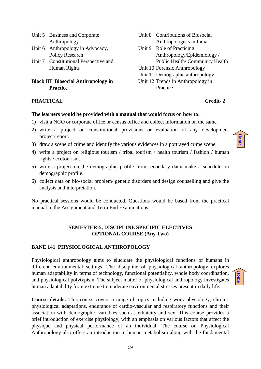|                                            | Unit 5 Business and Corporate         | Unit 8 Contributions of Biosocial |
|--------------------------------------------|---------------------------------------|-----------------------------------|
|                                            | Anthropology                          | Anthropologists in India          |
|                                            | Unit 6 Anthropology in Advocacy,      | Unit 9 Role of Practicing         |
|                                            | Policy Research                       | Anthropology/Epidemiology/        |
|                                            | Unit 7 Constitutional Perspective and | Public Health/Community Health    |
|                                            | Human Rights                          | Unit 10 Forensic Anthropology     |
|                                            |                                       | Unit 11 Demographic anthropology  |
| <b>Block III Biosocial Anthropology in</b> |                                       | Unit 12 Trends in Anthropology in |
| <b>Practice</b>                            |                                       | Practice                          |

#### **PRACTICAL Credit- 2**

**[Home](#page-2-0)**

**[Home](#page-2-0)**

#### **The learners would be provided with a manual that would focus on how to:**

- 1) visit a NGO or corporate office or census office and collect information on the same.
- 2) write a project on constitutional provisions or evaluation of any development project/report.
- 3) draw a scene of crime and identify the various evidences in a portrayed crime scene.
- 4) write a project on religious tourism / tribal tourism / health tourism / fashion / human rights / ecotourism.
- 5) write a project on the demographic profile from secondary data/ make a schedule on demographic profile.
- 6) collect data on bio-social problem/ genetic disorders and design counselling and give the analysis and interpretation.

No practical sessions would be conducted. Questions would be based from the practical manual in the Assignment and Term End Examinations.

#### **SEMESTER-5, DISCIPLINE SPECIFIC ELECTIVES OPTIONAL COURSE (Any Two)**

#### **BANE 141 PHYSIOLOGICAL ANTHROPOLOGY**

Physiological anthropology aims to elucidate the physiological functions of humans in different environmental settings. The discipline of physiological anthropology explores human adaptability in terms of technology, functional potentiality, whole body coordination, and physiological polytypism. The subject matter of physiological anthropology investigates human adaptability from extreme to moderate environmental stresses present in daily life.

**Course details:** This course covers a range of topics including work physiology, chronic physiological adaptations, endurance of cardio-vascular and respiratory functions and their association with demographic variables such as ethnicity and sex. This course provides a brief introduction of exercise physiology, with an emphasis on various factors that affect the physique and physical performance of an individual. The course on Physiological Anthropology also offers an introduction to human metabolism along with the fundamental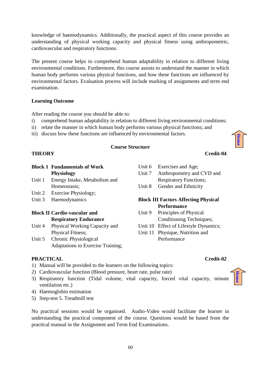knowledge of haemodynamics. Additionally, the practical aspect of this course provides an understanding of physical working capacity and physical fitness using anthropometric, cardiovascular and respiratory functions.

The present course helps to comprehend human adaptability in relation to different living environmental conditions. Furthermore, this course assists to understand the manner in which human body performs various physical functions, and how these functions are influenced by environmental factors. Evaluation process will include marking of assignments and term end examination.

#### **Learning Outcome**

After reading the course you should be able to:

- i) comprehend human adaptability in relation to different living environmental conditions;
- ii) relate the manner in which human body performs various physical functions; and
- iii) discuss how these functions are influenced by environmental factors.

#### **Course Structure**

#### **THEORY Credit-04**

**Block 1 Fundamentals of Work Physiology** Unit 1 Energy Intake, Metabolism and Homeostasis; Unit 2 Exercise Physiology;

Unit 3 Haemodynamics

#### **Block II Cardio-vascular and Respiratory Endurance**

- Unit 4 Physical Working Capacity and Physical Fitness;
- Unit 5 Chronic Physiological Adaptations to Exercise Training;

#### Unit 6 Exercises and Age; Unit 7 Anthropometry and CVD and Respiratory Functions;

Unit 8 Gender and Ethnicity

#### **Block III Factors Affecting Physical Performance**

- Unit 9 Principles of Physical Conditioning Techniques;
- Unit 10 Effect of Lifestyle Dynamics;
- Unit 11 Physique, Nutrition and Performance

#### **PRACTICAL Credit-02**

- 1) Manual will be provided to the learners on the following topics:
- 2) Cardiovascular function (Blood pressure, heart rate, pulse rate)
- 3) Respiratory function (Tidal volume, vital capacity, forced vital capacity, minute ventilation etc.)
- 4) Haemoglobin estimation
- 5) Step-test 5. Treadmill test

No practical sessions would be organised. Audio-Video would facilitate the learner in understanding the practical component of the course. Questions would be based from the practical manual in the Assignment and Term End Examinations.



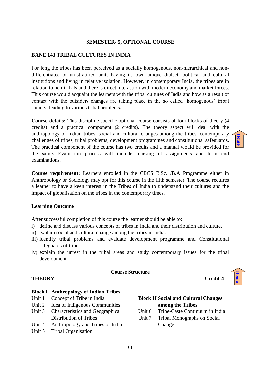**SEMESTER- 5, OPTIONAL COURSE**

**BANE 143 TRIBAL CULTURES IN INDIA** 

For long the tribes has been perceived as a socially homogenous, non-hierarchical and nondifferentiated or un-stratified unit; having its own unique dialect, political and cultural institutions and living in relative isolation. However, in contemporary India, the tribes are in relation to non-tribals and there is direct interaction with modern economy and market forces. This course would acquaint the learners with the tribal cultures of India and how as a result of contact with the outsiders changes are taking place in the so called 'homogenous' tribal society, leading to various tribal problems.

**Course details:** This discipline specific optional course consists of four blocks of theory (4 credits) and a practical component (2 credits). The theory aspect will deal with the anthropology of Indian tribes, social and cultural changes among the tribes, contemporary challenges of tribes, tribal problems, development programmes and constitutional safeguards. The practical component of the course has two credits and a manual would be provided for the same. Evaluation process will include marking of assignments and term end examinations.

**Course requirement:** Learners enrolled in the CBCS B.Sc. /B.A Programme either in Anthropology or Sociology may opt for this course in the fifth semester. The course requires a learner to have a keen interest in the Tribes of India to understand their cultures and the impact of globalisation on the tribes in the contemporary times.

#### **Learning Outcome**

After successful completion of this course the learner should be able to:

- i) define and discuss various concepts of tribes in India and their distribution and culture.
- ii) explain social and cultural change among the tribes in India.
- iii) identify tribal problems and evaluate development programme and Constitutional safeguards of tribes.
- iv) explain the unrest in the tribal areas and study contemporary issues for the tribal development.

#### **Course Structure**

#### **THEORY Credit-4**

#### **Block I Anthropology of Indian Tribes**

- Unit 1 Concept of Tribe in India
- Unit 2 Idea of Indigenous Communities
- Unit 3 Characteristics and Geographical Distribution of Tribes
- Unit 4 Anthropology and Tribes of India
- Unit 5 Tribal Organisation

#### **Block II Social and Cultural Changes among the Tribes**

- Unit 6 Tribe-Caste Continuum in India
- Unit 7 Tribal Monographs on Social Change





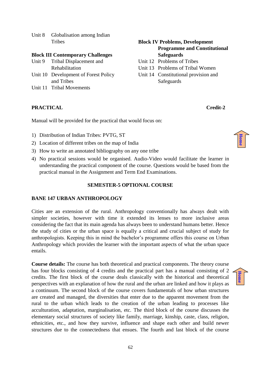Unit 8 Globalisation among Indian **Tribes** 

#### **Block III Contemporary Challenges**

- Unit 9 Tribal Displacement and Rehabilitation
- Unit 10 Development of Forest Policy and Tribes
- Unit 11 Tribal Movements

#### **PRACTICAL Credit-2**

Manual will be provided for the practical that would focus on:

- 1) Distribution of Indian Tribes: PVTG, ST
- 2) Location of different tribes on the map of India
- 3) How to write an annotated bibliography on any one tribe
- 4) No practical sessions would be organised. Audio-Video would facilitate the learner in understanding the practical component of the course. Questions would be based from the practical manual in the Assignment and Term End Examinations.

#### **SEMESTER-5 OPTIONAL COURSE**

#### **BANE 147 URBAN ANTHROPOLOGY**

Cities are an extension of the rural. Anthropology conventionally has always dealt with simpler societies, however with time it extended its lenses to more inclusive areas considering the fact that its main agenda has always been to understand humans better. Hence the study of cities or the urban space is equally a critical and crucial subject of study for anthropologists. Keeping this in mind the bachelor's programme offers this course on Urban Anthropology which provides the learner with the important aspects of what the urban space entails.

**Course details:** The course has both theoretical and practical components. The theory course has four blocks consisting of 4 credits and the practical part has a manual consisting of 2 credits. The first block of the course deals classically with the historical and theoretical perspectives with an explanation of how the rural and the urban are linked and how it plays as a continuum. The second block of the course covers fundamentals of how urban structures are created and managed, the diversities that enter due to the apparent movement from the rural to the urban which leads to the creation of the urban leading to processes like acculturation, adaptation, marginalisation, etc. The third block of the course discusses the elementary social structures of society like family, marriage, kinship, caste, class, religion, ethnicities, etc., and how they survive, influence and shape each other and build newer structures due to the connectedness that ensues. The fourth and last block of the course

#### **Block IV Problems, Development Programme and Constitutional Safeguards**

- Unit 12 Problems of Tribes
- Unit 13 Problems of Tribal Women
- Unit 14 Constitutional provision and **Safeguards**



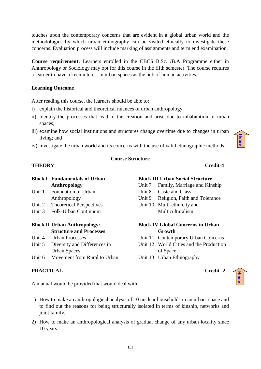touches upon the contemporary concerns that are evident in a global urban world and the methodologies by which urban ethnography can be visited ethically to investigate these concerns. Evaluation process will include marking of assignments and term end examination.

**Course requirement:** Learners enrolled in the CBCS B.Sc. /B.A Programme either in Anthropology or Sociology may opt for this course in the fifth semester. The course requires a learner to have a keen interest in urban spaces as the hub of human activities.

#### **Learning Outcome**

After reading this course, the learners should be able to:

- i) explain the historical and theoretical nuances of urban anthropology;
- ii) identify the processes that lead to the creation and arise due to inhabitation of urban spaces;
- iii) examine how social institutions and structures change overtime due to changes in urban living; and
- iv) investigate the urban world and its concerns with the use of valid ethnographic methods.

**Course Structure**

# **[Home](#page-2-0)**

#### **THEORY Credit-4**

|                                     | <b>Block I</b> Fundamentals of Urban |  |  |
|-------------------------------------|--------------------------------------|--|--|
|                                     | Anthropology                         |  |  |
| Unit 1                              | <b>Foundation of Urban</b>           |  |  |
|                                     | Anthropology                         |  |  |
| Unit 2                              | <b>Theoretical Perspectives</b>      |  |  |
| Unit $3$                            | Folk-Urban Continuum                 |  |  |
|                                     |                                      |  |  |
| <b>Block II Urban Anthropology:</b> |                                      |  |  |
|                                     | <b>Structure and Processes</b>       |  |  |
| Unit 4                              | <b>Urban Processes</b>               |  |  |
| Unit 5                              | Diversity and Differences in         |  |  |
|                                     | <b>Urban Spaces</b>                  |  |  |

Unit 6 Movement from Rural to Urban

#### **PRACTICAL Credit -2**

**Block III Urban Social Structure**

- Unit 7 Family, Marriage and Kinship
- Unit 8 Caste and Class
- Unit 9 Religion, Faith and Tolerance
- Unit 10 Multi-ethnicity and Multiculturalism

#### **Block IV Global Concerns in Urban Growth**

- Unit 11 Contemporary Urban Concerns
- Unit 12 World Cities and the Production of Space
- Unit 13 Urban Ethnography

**[Home](#page-2-0)**

A manual would be provided that would deal with:

- 1) How to make an anthropological analysis of 10 nuclear households in an urban space and to find out the reasons for being structurally isolated in terms of kinship, networks and joint family.
- 2) How to make an anthropological analysis of gradual change of any urban locality since 10 years.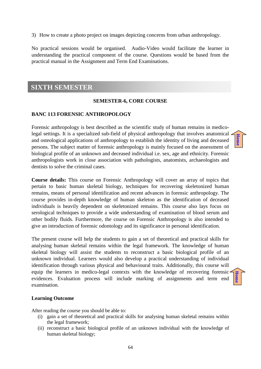3) How to create a photo project on images depicting concerns from urban anthropology.

No practical sessions would be organised. Audio-Video would facilitate the learner in understanding the practical component of the course. Questions would be based from the practical manual in the Assignment and Term End Examinations.

### <span id="page-63-0"></span>**SIXTH SEMESTER**

#### **SEMESTER-6, CORE COURSE**

#### **BANC 113 FORENSIC ANTHROPOLOGY**

Forensic anthropology is best described as the scientific study of human remains in medicolegal settings. It is a specialized sub-field of physical anthropology that involves anatomical and osteological applications of anthropology to establish the identity of living and deceased persons. The subject matter of forensic anthropology is mainly focused on the assessment of biological profile of an unknown and deceased individual i.e. sex, age and ethnicity. Forensic anthropologists work in close association with pathologists, anatomists, archaeologists and dentists to solve the criminal cases.

**[Home](#page-2-0)**

**[Home](#page-2-0)**

**Course details:** This course on Forensic Anthropology will cover an array of topics that pertain to basic human skeletal biology, techniques for recovering skeletonized human remains, means of personal identification and recent advances in forensic anthropology. The course provides in-depth knowledge of human skeleton as the identification of deceased individuals is heavily dependent on skeletonized remains. This course also lays focus on serological techniques to provide a wide understanding of examination of blood serum and other bodily fluids. Furthermore, the course on Forensic Anthropology is also intended to give an introduction of forensic odontology and its significance in personal identification.

The present course will help the students to gain a set of theoretical and practical skills for analysing human skeletal remains within the legal framework. The knowledge of human skeletal biology will assist the students to reconstruct a basic biological profile of an unknown individual. Learners would also develop a practical understanding of individual identification through various physical and behavioural traits. Additionally, this course will equip the learners in medico-legal contexts with the knowledge of recovering forensic evidences. Evaluation process will include marking of assignments and term end examination.

#### **Learning Outcome**

After reading the course you should be able to:

- (i) gain a set of theoretical and practical skills for analysing human skeletal remains within the legal framework;
- (ii) reconstruct a basic biological profile of an unknown individual with the knowledge of human skeletal biology;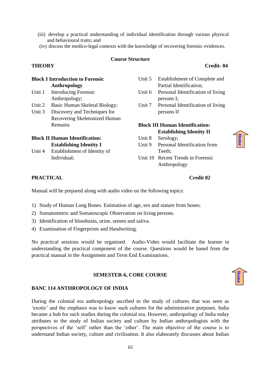- (iii) develop a practical understanding of individual identification through various physical and behavioural traits; and
- (iv) discuss the medico-legal contexts with the knowledge of recovering forensic evidences.

#### **Course Structure**

#### **THEORY Credit- 04**

**[Home](#page-2-0)**

**[Home](#page-2-0)**

| <b>Block I Introduction to Forensic</b> |                                       | Unit 5                                 | Establishment of Complete and                   |
|-----------------------------------------|---------------------------------------|----------------------------------------|-------------------------------------------------|
|                                         | Anthropology                          |                                        | Partial Identification;                         |
| Unit 1                                  | Introducing Forensic<br>Anthropology; | Unit 6                                 | Personal Identification of living<br>persons I; |
| Unit 2                                  | Basic Human Skeletal Biology;         | Unit 7                                 | Personal Identification of living               |
| Unit 3                                  | Discovery and Techniques for          |                                        | persons II                                      |
|                                         | Recovering Skeletonized Human         |                                        |                                                 |
|                                         | Remains                               | <b>Block III Human Identification:</b> |                                                 |
|                                         |                                       |                                        | <b>Establishing Identity II</b>                 |
| <b>Block II Human Identification:</b>   |                                       | Unit 8                                 | Serology;                                       |
|                                         | <b>Establishing Identity I</b>        | Unit 9                                 | Personal Identification from                    |
| Unit 4                                  | Establishment of Identity of          |                                        | Teeth;                                          |
|                                         | Individual;                           |                                        | Unit 10 Recent Trends in Forensic               |

Unit 10 Recent Trends in Forensic Anthropology

#### **PRACTICAL Credit 02**

Manual will be prepared along with audio video on the following topics:

- 1) Study of Human Long Bones. Estimation of age, sex and stature from bones.
- 2) Somatometric and Somatoscopic Observation on living persons.
- 3) Identification of bloodstain, urine, semen and saliva.
- 4) Examination of Fingerprints and Handwriting.

No practical sessions would be organised. Audio-Video would facilitate the learner in understanding the practical component of the course. Questions would be based from the practical manual in the Assignment and Term End Examinations.

#### **SEMESTER-6, CORE COURSE**

#### **BANC 114 ANTHROPOLOGY OF INDIA**

During the colonial era anthropology ascribed to the study of cultures that was seen as 'exotic' and the emphasis was to know such cultures for the administrative purposes. India became a hub for such studies during the colonial era. However, anthropology of India today attributes to the study of Indian society and culture by Indian anthropologists with the perspectives of the 'self' rather than the 'other'. The main objective of the course is to understand Indian society, culture and civilisation. It also elaborately discusses about Indian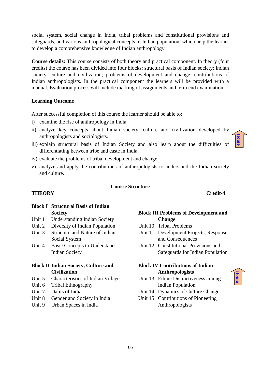social system, social change in India, tribal problems and constitutional provisions and safeguards, and various anthropological concepts of Indian population, which help the learner to develop a comprehensive knowledge of Indian anthropology.

**Course details:** This course consists of both theory and practical component. In theory (four credits) the course has been divided into four blocks: structural basis of Indian society; Indian society, culture and civilization; problems of development and change; contributions of Indian anthropologists. In the practical component the learners will be provided with a manual. Evaluation process will include marking of assignments and term end examination.

#### **Learning Outcome**

After successful completion of this course the learner should be able to:

- i) examine the rise of anthropology in India.
- ii) analyze key concepts about Indian society, culture and civilization developed by anthropologists and sociologists.
- iii) explain structural basis of Indian Society and also learn about the difficulties of differentiating between tribe and caste in India.
- iv) evaluate the problems of tribal development and change
- v) analyze and apply the contributions of anthropologists to understand the Indian society and culture.

#### **Course Structure**

#### **THEORY Credit-4**

#### **Block I Structural Basis of Indian Society**

- Unit 1 Understanding Indian Society
- Unit 2 Diversity of Indian Population
- Unit 3 Structure and Nature of Indian Social System
- Unit 4 Basic Concepts to Understand Indian Society

#### **Block II Indian Society, Culture and Civilization**

- Unit 5 Characteristics of Indian Village
- Unit 6 Tribal Ethnography
- Unit 7 Dalits of India
- Unit 8 Gender and Society in India
- Unit 9 Urban Spaces in India

#### **Block III Problems of Development and Change**

- Unit 10 Tribal Problems
- Unit 11 Development Projects, Response and Consequences
- Unit 12 Constitutional Provisions and Safeguards for Indian Population

#### **Block IV Contributions of Indian Anthropologists**

- Unit 13 Ethnic Distinctiveness among Indian Population
- Unit 14 Dynamics of Culture Change
- Unit 15 Contributions of Pioneering Anthropologists



**[Home](#page-2-0)**

66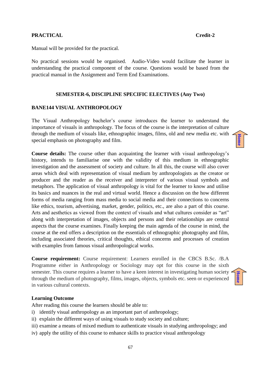#### **PRACTICAL Credit-2**

Manual will be provided for the practical.

No practical sessions would be organised. Audio-Video would facilitate the learner in understanding the practical component of the course. Questions would be based from the practical manual in the Assignment and Term End Examinations.

#### **SEMESTER-6, DISCIPLINE SPECIFIC ELECTIVES (Any Two)**

#### **BANE144 VISUAL ANTHROPOLOGY**

The Visual Anthropology bachelor's course introduces the learner to understand the importance of visuals in anthropology. The focus of the course is the interpretation of culture through the medium of visuals like, ethnographic images, films, old and new media etc. with special emphasis on photography and film.

**Course details:** The course other than acquainting the learner with visual anthropology's history, intends to familiarise one with the validity of this medium in ethnographic investigation and the assessment of society and culture. In all this, the course will also cover areas which deal with representation of visual medium by anthropologists as the creator or producer and the reader as the receiver and interpreter of various visual symbols and metaphors. The application of visual anthropology is vital for the learner to know and utilise its basics and nuances in the real and virtual world. Hence a discussion on the how different forms of media ranging from mass media to social media and their connections to concerns like ethics, tourism, advertising, market, gender, politics, etc., are also a part of this course. Arts and aesthetics as viewed from the context of visuals and what cultures consider as "art" along with interpretation of images, objects and persons and their relationships are central aspects that the course examines. Finally keeping the main agenda of the course in mind, the course at the end offers a description on the essentials of ethnographic photography and film, including associated theories, critical thoughts, ethical concerns and processes of creation with examples from famous visual anthropological works.

**Course requirement:** Course requirement: Learners enrolled in the CBCS B.Sc. /B.A Programme either in Anthropology or Sociology may opt for this course in the sixth semester. This course requires a learner to have a keen interest in investigating human society through the medium of photography, films, images, objects, symbols etc. seen or experienced in various cultural contexts.



**[Home](#page-2-0)**

#### **Learning Outcome**

After reading this course the learners should be able to:

- i) identify visual anthropology as an important part of anthropology;
- ii) explain the different ways of using visuals to study society and culture;
- iii) examine a means of mixed medium to authenticate visuals in studying anthropology; and
- iv) apply the utility of this course to enhance skills to practice visual anthropology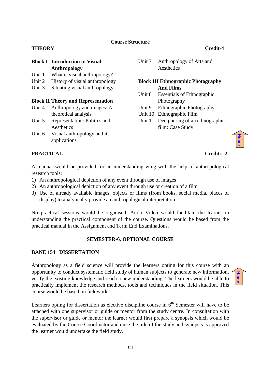#### **Course Structure**

#### **THEORY Credit-4**

#### **Block I Introduction to Visual Anthropology**

- Unit 1 What is visual anthropology?
- Unit 2 History of visual anthropology
- Unit 3 Situating visual anthropology

#### **Block II Theory and Representation**

- Unit 4 Anthropology and images: A theoretical analysis
- Unit 5 Representation: Politics and **Aesthetics**
- Unit 6 Visual anthropology and its applications

#### **PRACTICAL** Credits-2

Unit 7 Anthropology of Arts and **Aesthetics** 

#### **Block III Ethnographic Photography And Films**

- Unit 8 Essentials of Ethnographic Photography
- Unit 9 Ethnographic Photography
- Unit 10 Ethnographic Film
- Unit 11 Deciphering of an ethnographic film: Case Study



**[Home](#page-2-0)**

A manual would be provided for an understanding wing with the help of anthropological research tools:

- 1) An anthropological depiction of any event through use of images
- 2) An anthropological depiction of any event through use or creation of a film
- 3) Use of already available images, objects or films (from books, social media, places of display) to analytically provide an anthropological interpretation

No practical sessions would be organised. Audio-Video would facilitate the learner in understanding the practical component of the course. Questions would be based from the practical manual in the Assignment and Term End Examinations.

#### **SEMESTER-6, OPTIONAL COURSE**

#### **BANE 154 DISSERTATION**

Anthropology as a field science will provide the learners opting for this course with an opportunity to conduct systematic field study of human subjects to generate new information, verify the existing knowledge and reach a new understanding. The learners would be able to practically implement the research methods, tools and techniques in the field situation. This course would be based on fieldwork.

Learners opting for dissertation as elective discipline course in  $6<sup>th</sup>$  Semester will have to be attached with one supervisor or guide or mentor from the study centre. In consultation with the supervisor or guide or mentor the learner would first prepare a synopsis which would be evaluated by the Course Coordinator and once the title of the study and synopsis is approved the learner would undertake the field study.